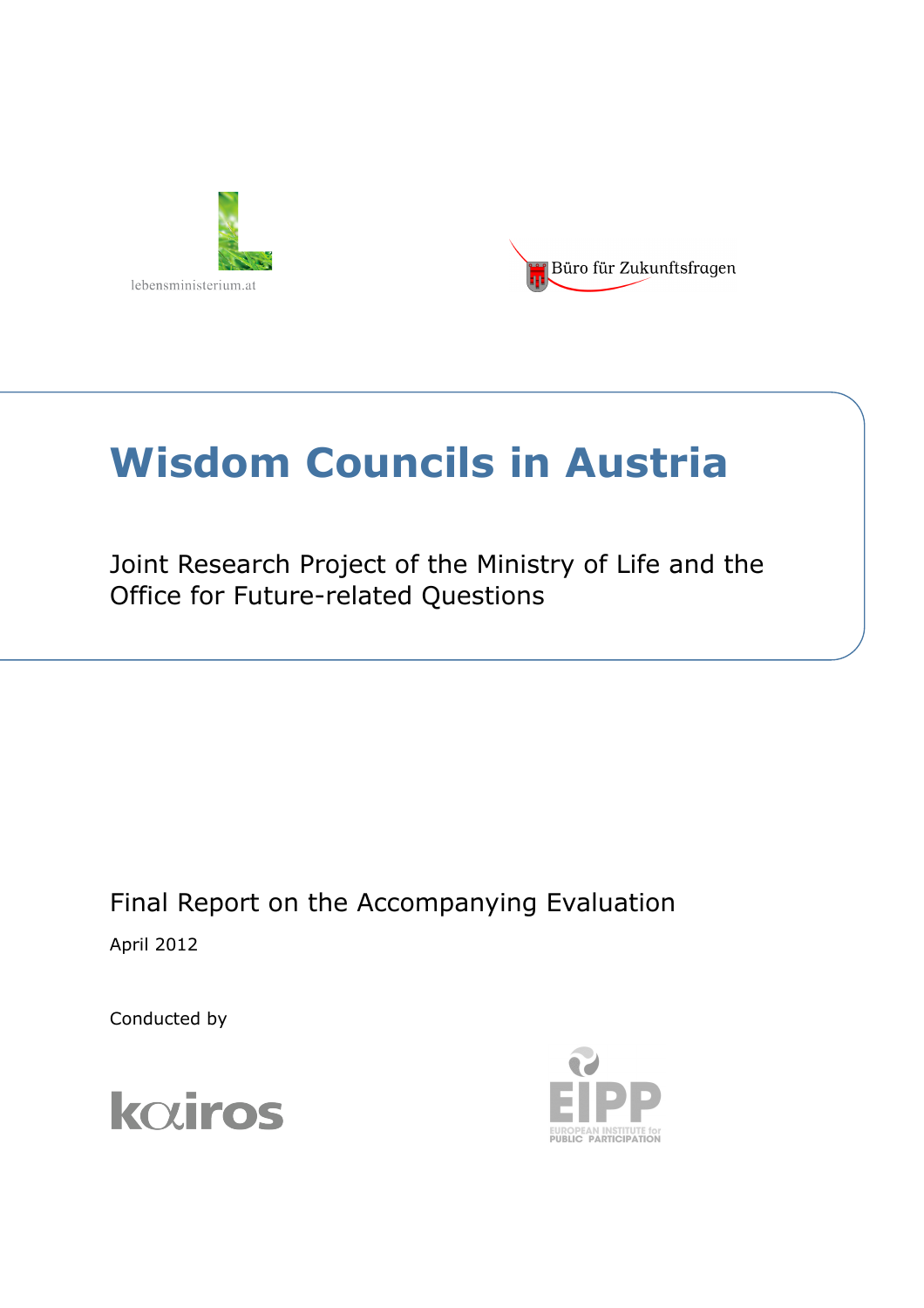



# **Wisdom Councils in Austria**

Joint Research Project of the Ministry of Life and the Office for Future-related Questions

Final Report on the Accompanying Evaluation April 2012

Conducted by



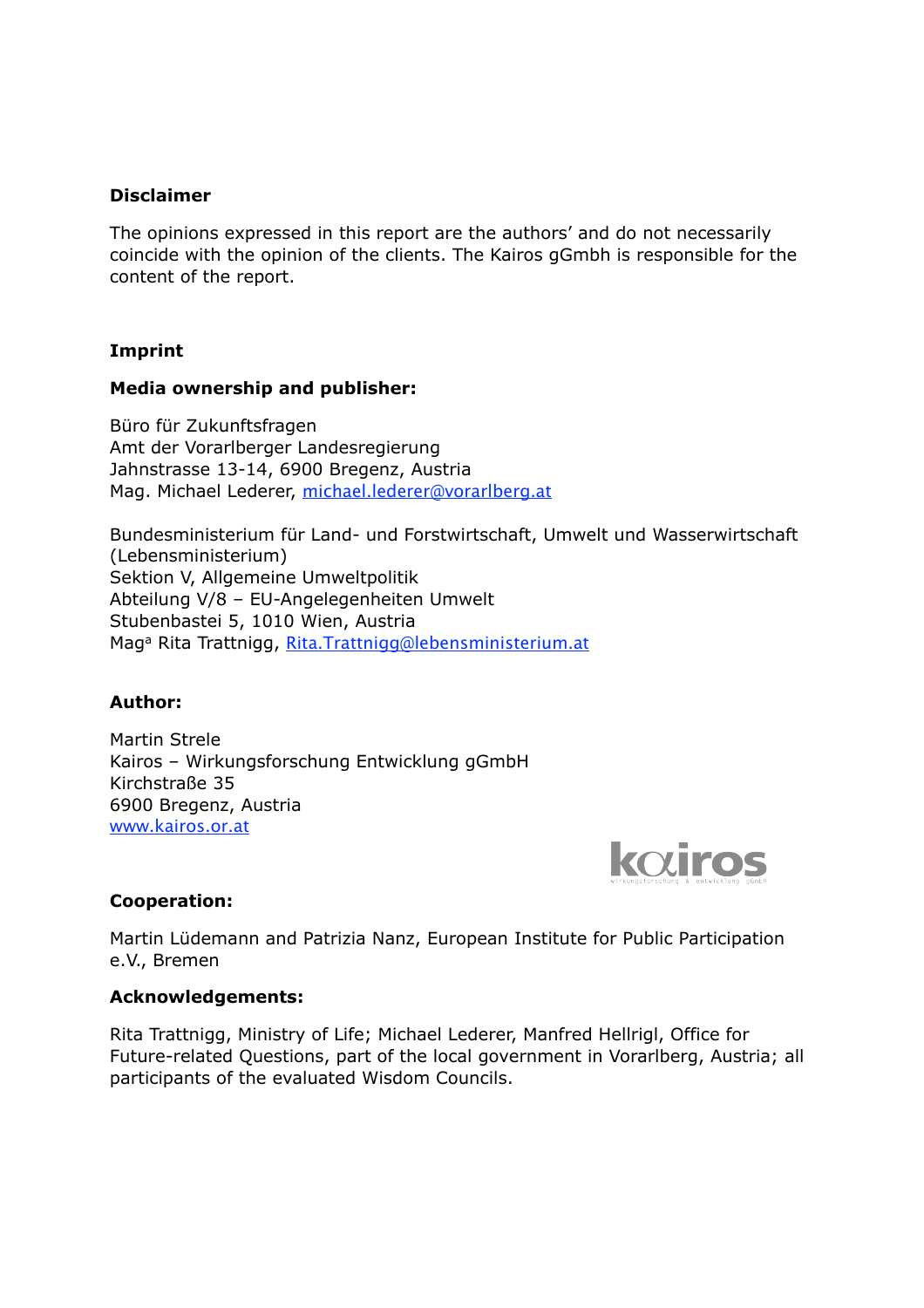#### **Disclaimer**

The opinions expressed in this report are the authors' and do not necessarily coincide with the opinion of the clients. The Kairos gGmbh is responsible for the content of the report.

#### **Imprint**

#### **Media ownership and publisher:**

Büro für Zukunftsfragen Amt der Vorarlberger Landesregierung Jahnstrasse 13-14, 6900 Bregenz, Austria Mag. Michael Lederer, [michael.lederer@vorarlberg.at](mailto:michael.lederer@vorarlberg.at)

Bundesministerium für Land- und Forstwirtschaft, Umwelt und Wasserwirtschaft (Lebensministerium) Sektion V, Allgemeine Umweltpolitik Abteilung V/8 – EU-Angelegenheiten Umwelt Stubenbastei 5, 1010 Wien, Austria Mag<sup>a</sup> Rita Trattnigg, [Rita.Trattnigg@lebensministerium.at](mailto:Rita.Trattnigg@lebensministerium.at)

#### **Author:**

Martin Strele Kairos – Wirkungsforschung Entwicklung gGmbH Kirchstraße 35 6900 Bregenz, Austria [www.kairos.or.at](http://www.kairos.or.at)



#### **Cooperation:**

Martin Lüdemann and Patrizia Nanz, European Institute for Public Participation e.V., Bremen

#### **Acknowledgements:**

Rita Trattnigg, Ministry of Life; Michael Lederer, Manfred Hellrigl, Office for Future-related Questions, part of the local government in Vorarlberg, Austria; all participants of the evaluated Wisdom Councils.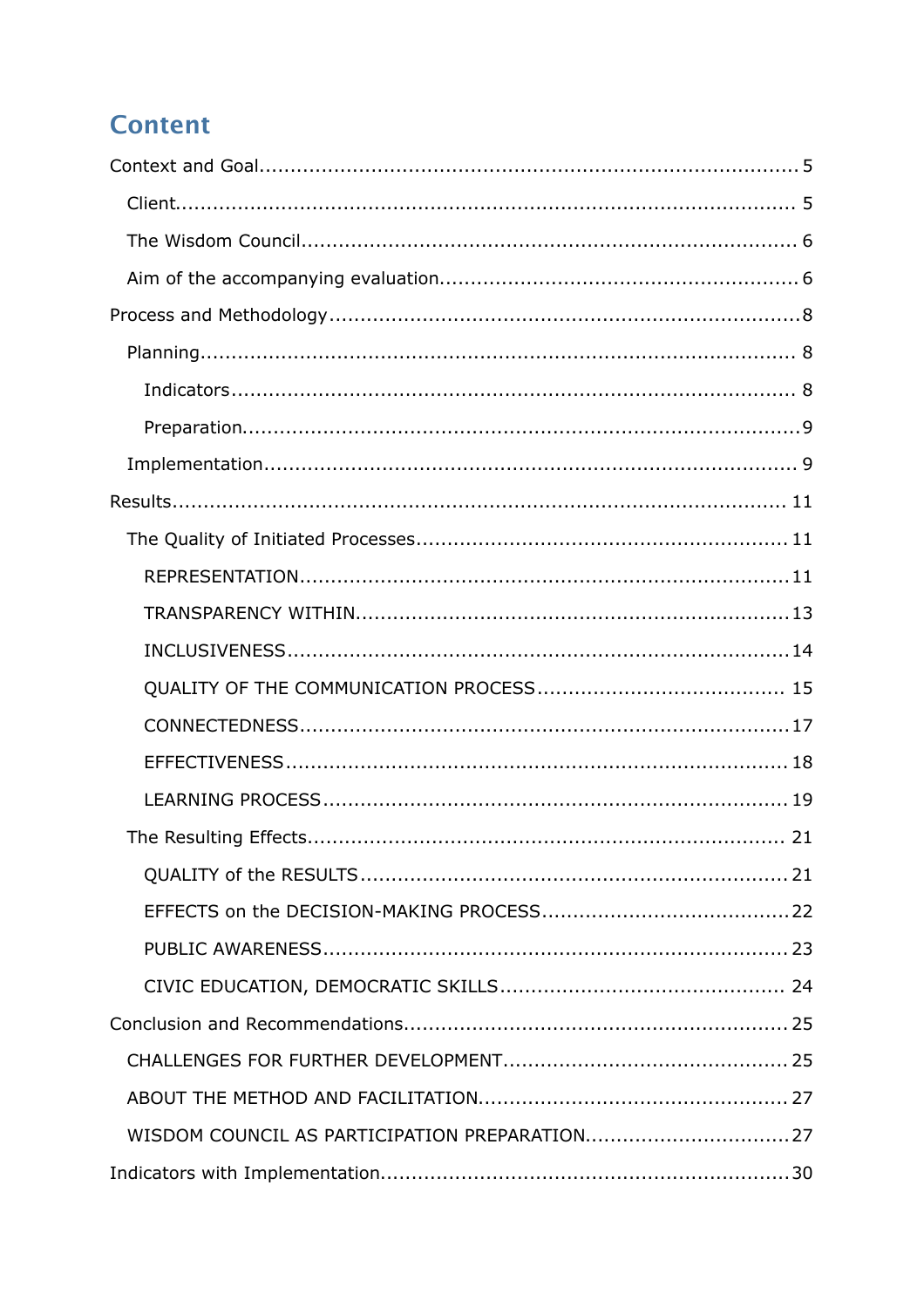# **Content**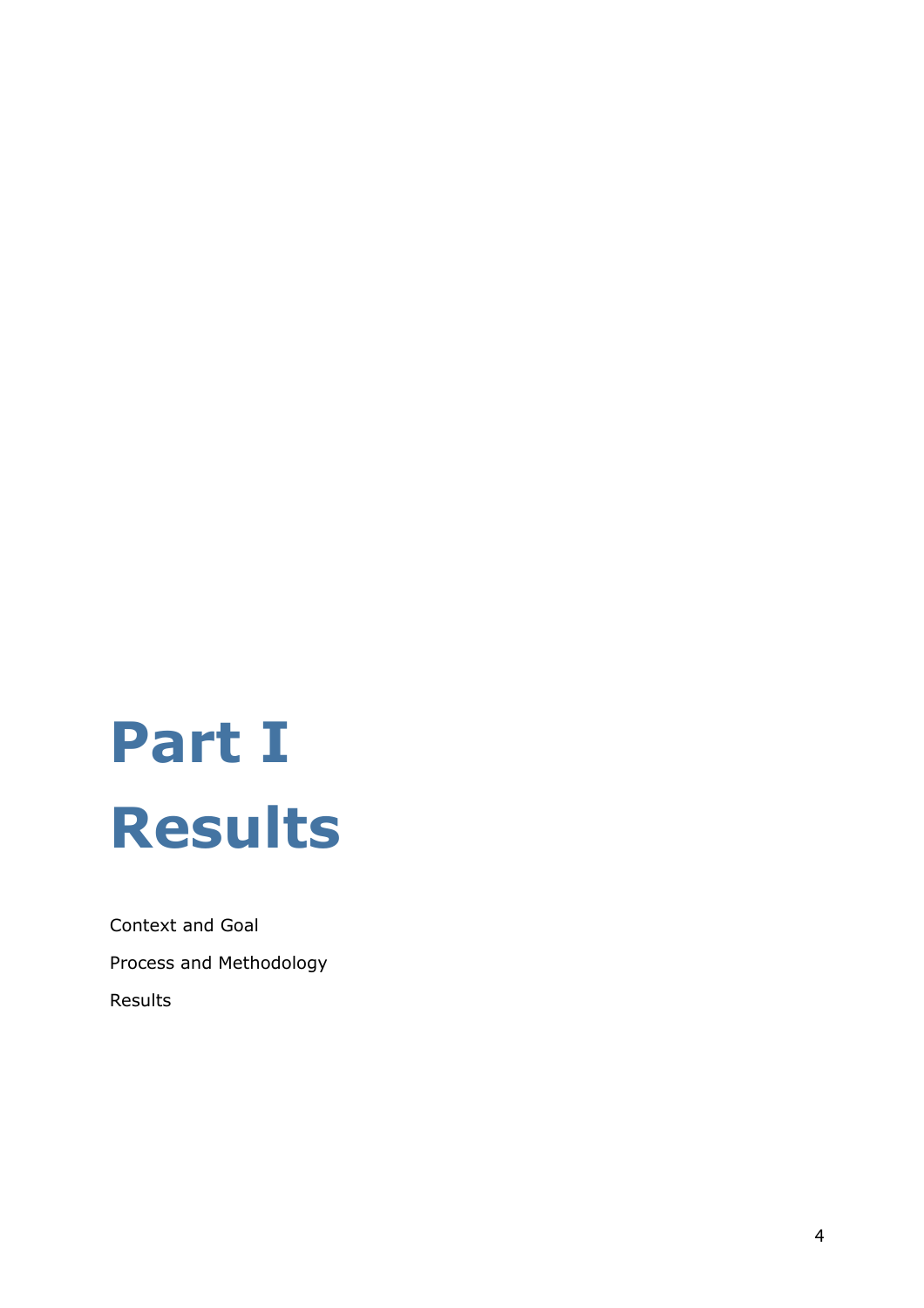# **Part I Results**

Context and Goal Process and Methodology Results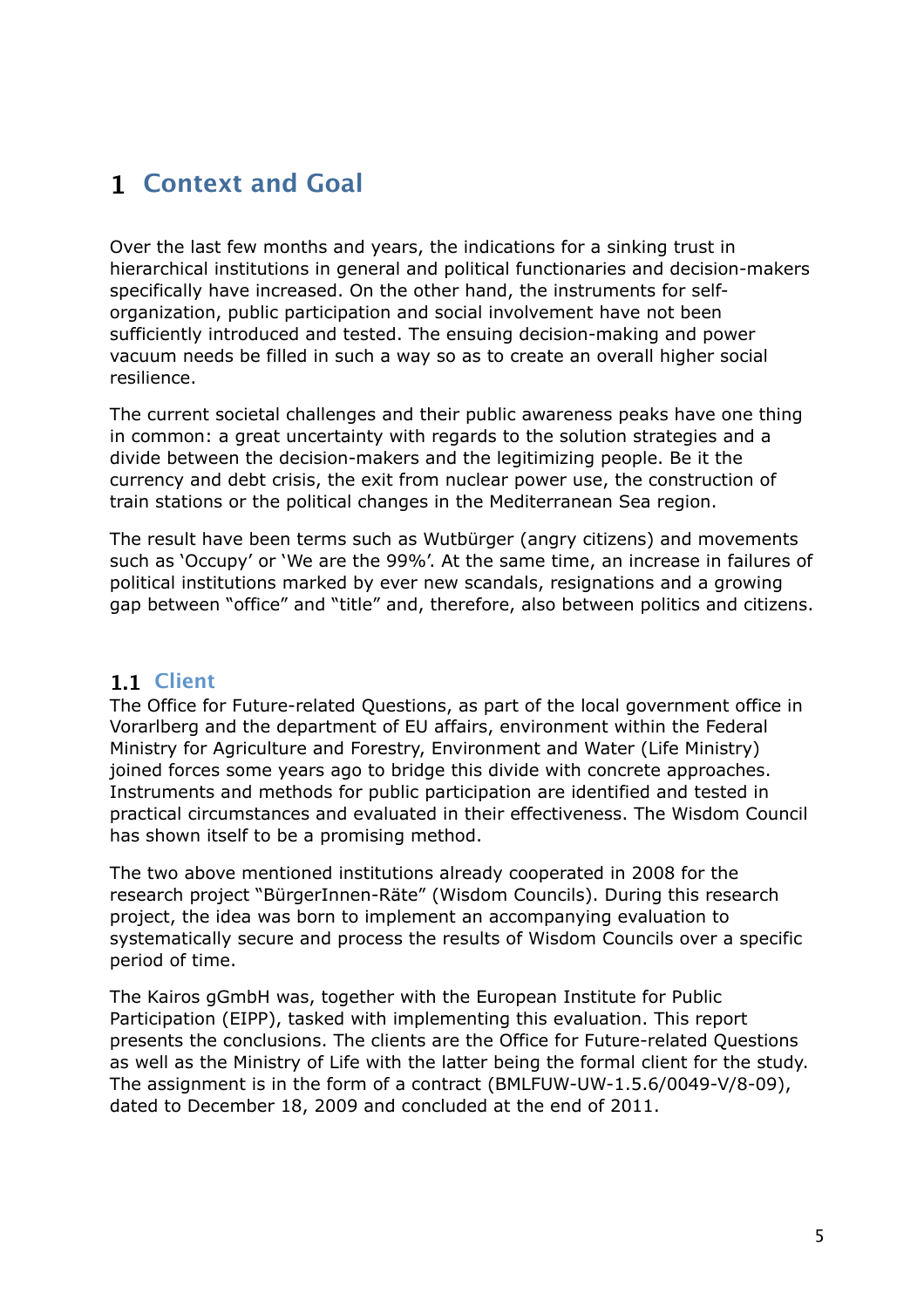# <span id="page-4-0"></span>**1 Context and Goal**

Over the last few months and years, the indications for a sinking trust in hierarchical institutions in general and political functionaries and decision-makers specifically have increased. On the other hand, the instruments for selforganization, public participation and social involvement have not been sufficiently introduced and tested. The ensuing decision-making and power vacuum needs be filled in such a way so as to create an overall higher social resilience.

The current societal challenges and their public awareness peaks have one thing in common: a great uncertainty with regards to the solution strategies and a divide between the decision-makers and the legitimizing people. Be it the currency and debt crisis, the exit from nuclear power use, the construction of train stations or the political changes in the Mediterranean Sea region.

The result have been terms such as Wutbürger (angry citizens) and movements such as 'Occupy' or 'We are the 99%'. At the same time, an increase in failures of political institutions marked by ever new scandals, resignations and a growing gap between "office" and "title" and, therefore, also between politics and citizens.

#### <span id="page-4-1"></span>**1.1 Client**

The Office for Future-related Questions, as part of the local government office in Vorarlberg and the department of EU affairs, environment within the Federal Ministry for Agriculture and Forestry, Environment and Water (Life Ministry) joined forces some years ago to bridge this divide with concrete approaches. Instruments and methods for public participation are identified and tested in practical circumstances and evaluated in their effectiveness. The Wisdom Council has shown itself to be a promising method.

The two above mentioned institutions already cooperated in 2008 for the research project "BürgerInnen-Räte" (Wisdom Councils). During this research project, the idea was born to implement an accompanying evaluation to systematically secure and process the results of Wisdom Councils over a specific period of time.

The Kairos gGmbH was, together with the European Institute for Public Participation (EIPP), tasked with implementing this evaluation. This report presents the conclusions. The clients are the Office for Future-related Questions as well as the Ministry of Life with the latter being the formal client for the study. The assignment is in the form of a contract (BMLFUW-UW-1.5.6/0049-V/8-09), dated to December 18, 2009 and concluded at the end of 2011.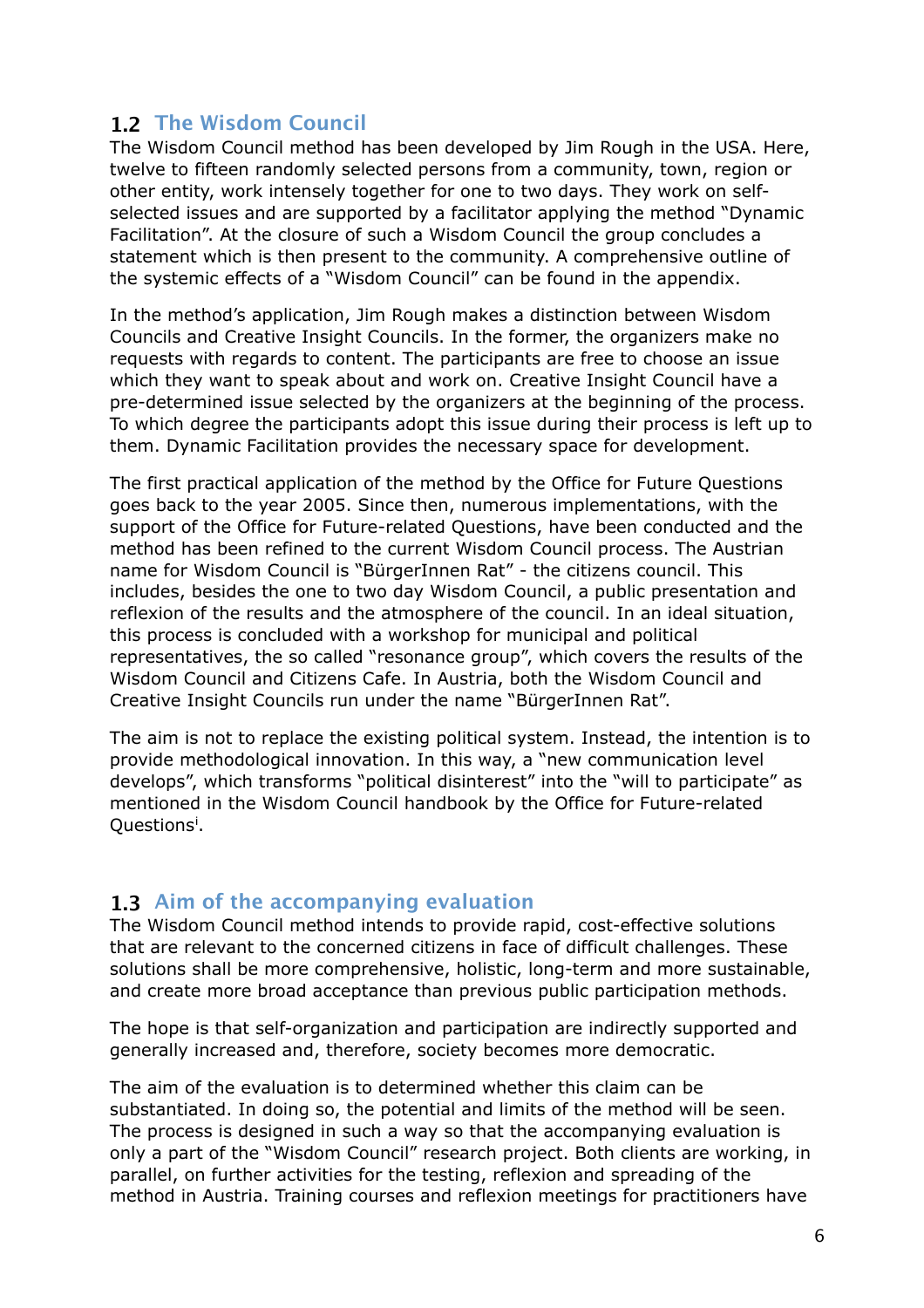#### <span id="page-5-0"></span>**1.2 The Wisdom Council**

The Wisdom Council method has been developed by Jim Rough in the USA. Here, twelve to fifteen randomly selected persons from a community, town, region or other entity, work intensely together for one to two days. They work on selfselected issues and are supported by a facilitator applying the method "Dynamic Facilitation". At the closure of such a Wisdom Council the group concludes a statement which is then present to the community. A comprehensive outline of the systemic effects of a "Wisdom Council" can be found in the appendix.

In the method's application, Jim Rough makes a distinction between Wisdom Councils and Creative Insight Councils. In the former, the organizers make no requests with regards to content. The participants are free to choose an issue which they want to speak about and work on. Creative Insight Council have a pre-determined issue selected by the organizers at the beginning of the process. To which degree the participants adopt this issue during their process is left up to them. Dynamic Facilitation provides the necessary space for development.

The first practical application of the method by the Office for Future Questions goes back to the year 2005. Since then, numerous implementations, with the support of the Office for Future-related Questions, have been conducted and the method has been refined to the current Wisdom Council process. The Austrian name for Wisdom Council is "BürgerInnen Rat" - the citizens council. This includes, besides the one to two day Wisdom Council, a public presentation and reflexion of the results and the atmosphere of the council. In an ideal situation, this process is concluded with a workshop for municipal and political representatives, the so called "resonance group", which covers the results of the Wisdom Council and Citizens Cafe. In Austria, both the Wisdom Council and Creative Insight Councils run under the name "BürgerInnen Rat".

The aim is not to replace the existing political system. Instead, the intention is to provide methodological innovation. In this way, a "new communication level develops", which transforms "political disinterest" into the "will to participate" as mentioned in the Wisdom Council handbook by the Office for Future-related Quest[i](#page-34-0)ons<sup>i</sup>.

#### <span id="page-5-1"></span>**1.3 Aim of the accompanying evaluation**

The Wisdom Council method intends to provide rapid, cost-effective solutions that are relevant to the concerned citizens in face of difficult challenges. These solutions shall be more comprehensive, holistic, long-term and more sustainable, and create more broad acceptance than previous public participation methods.

The hope is that self-organization and participation are indirectly supported and generally increased and, therefore, society becomes more democratic.

The aim of the evaluation is to determined whether this claim can be substantiated. In doing so, the potential and limits of the method will be seen. The process is designed in such a way so that the accompanying evaluation is only a part of the "Wisdom Council" research project. Both clients are working, in parallel, on further activities for the testing, reflexion and spreading of the method in Austria. Training courses and reflexion meetings for practitioners have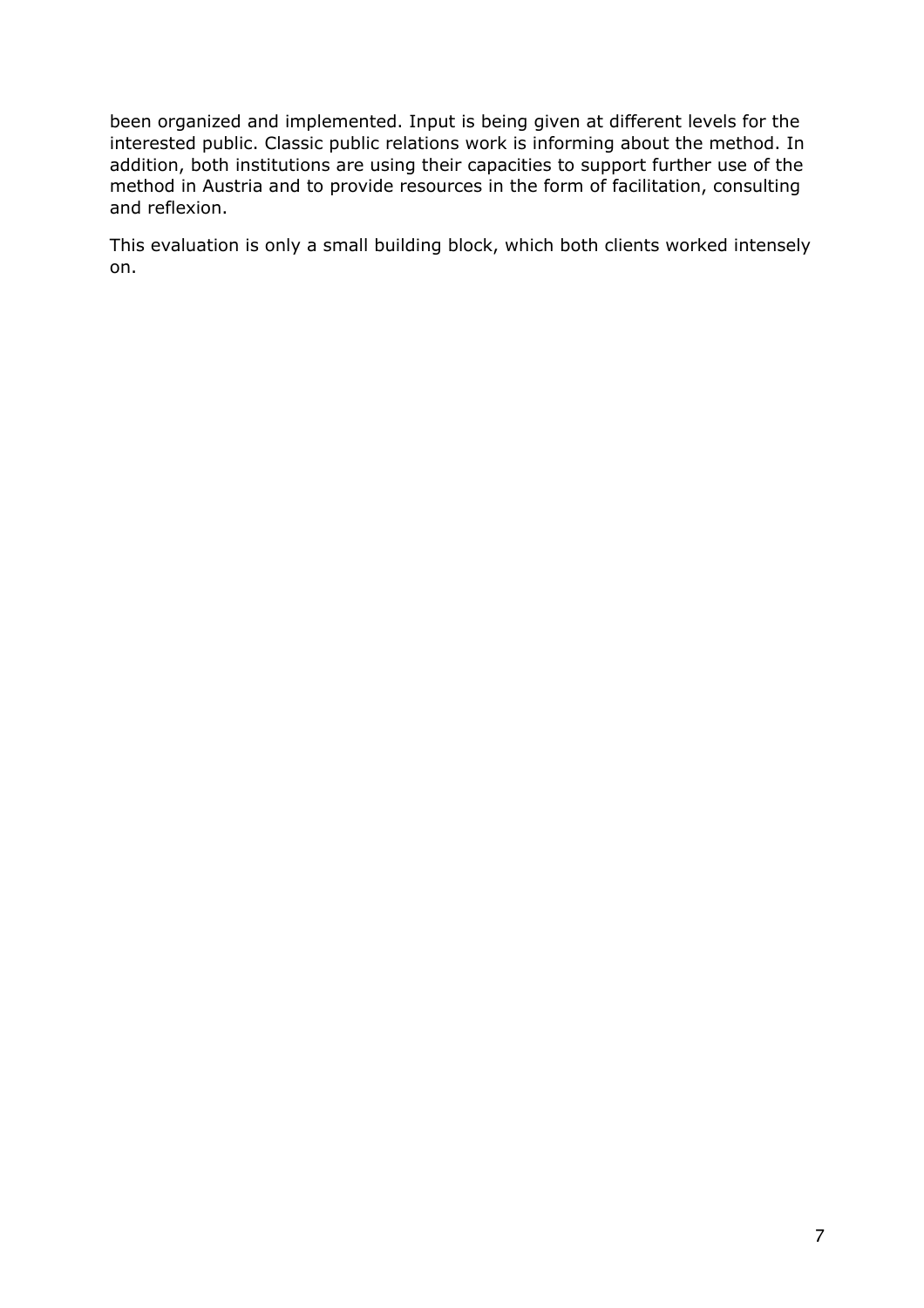been organized and implemented. Input is being given at different levels for the interested public. Classic public relations work is informing about the method. In addition, both institutions are using their capacities to support further use of the method in Austria and to provide resources in the form of facilitation, consulting and reflexion.

This evaluation is only a small building block, which both clients worked intensely on.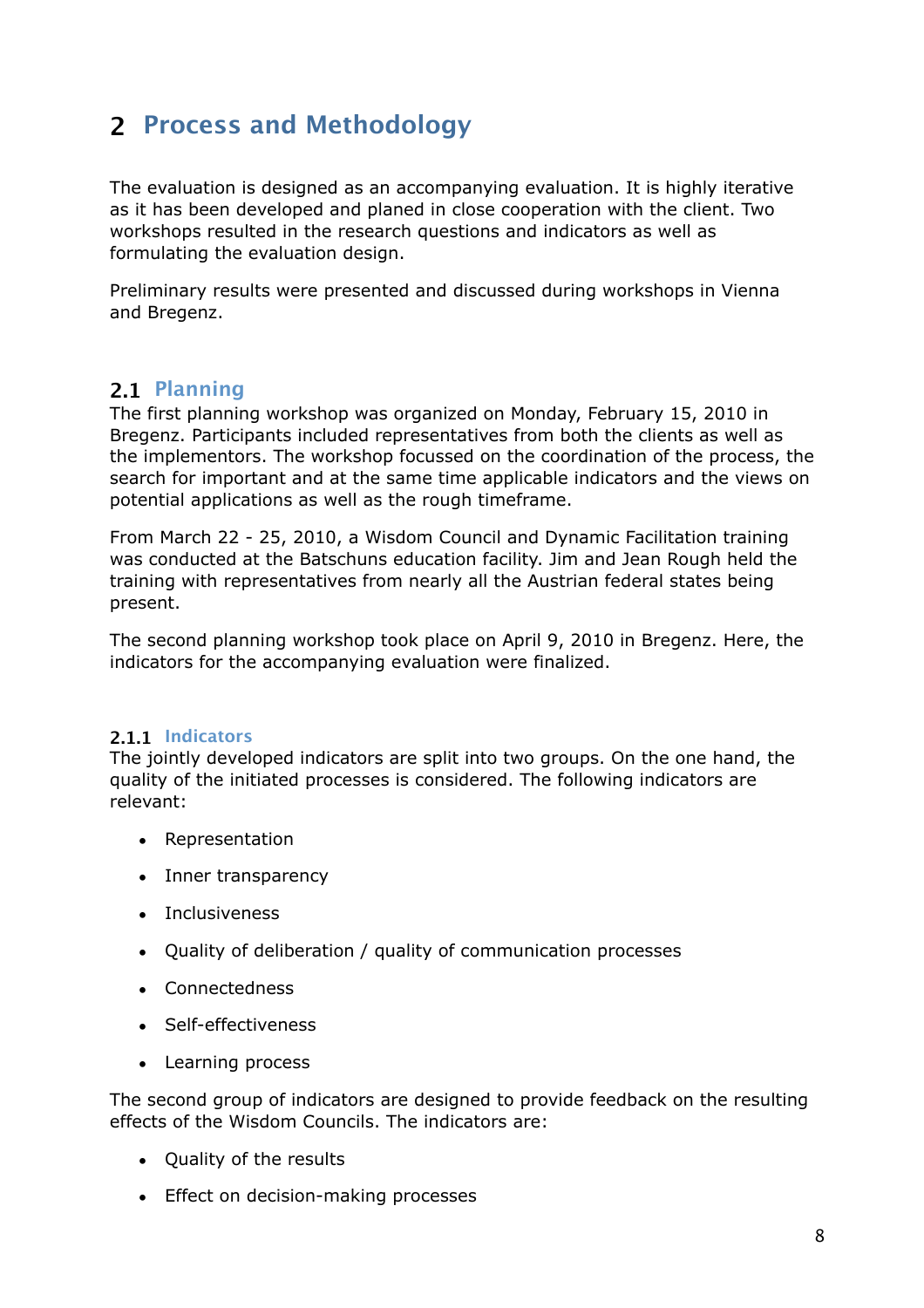# <span id="page-7-0"></span>**2 Process and Methodology**

The evaluation is designed as an accompanying evaluation. It is highly iterative as it has been developed and planed in close cooperation with the client. Two workshops resulted in the research questions and indicators as well as formulating the evaluation design.

Preliminary results were presented and discussed during workshops in Vienna and Bregenz.

#### <span id="page-7-1"></span>**2.1 Planning**

The first planning workshop was organized on Monday, February 15, 2010 in Bregenz. Participants included representatives from both the clients as well as the implementors. The workshop focussed on the coordination of the process, the search for important and at the same time applicable indicators and the views on potential applications as well as the rough timeframe.

From March 22 - 25, 2010, a Wisdom Council and Dynamic Facilitation training was conducted at the Batschuns education facility. Jim and Jean Rough held the training with representatives from nearly all the Austrian federal states being present.

The second planning workshop took place on April 9, 2010 in Bregenz. Here, the indicators for the accompanying evaluation were finalized.

#### <span id="page-7-2"></span>**2.1.1 Indicators**

The jointly developed indicators are split into two groups. On the one hand, the quality of the initiated processes is considered. The following indicators are relevant:

- Representation
- Inner transparency
- Inclusiveness
- Quality of deliberation / quality of communication processes
- Connectedness
- Self-effectiveness
- Learning process

The second group of indicators are designed to provide feedback on the resulting effects of the Wisdom Councils. The indicators are:

- Quality of the results
- Effect on decision-making processes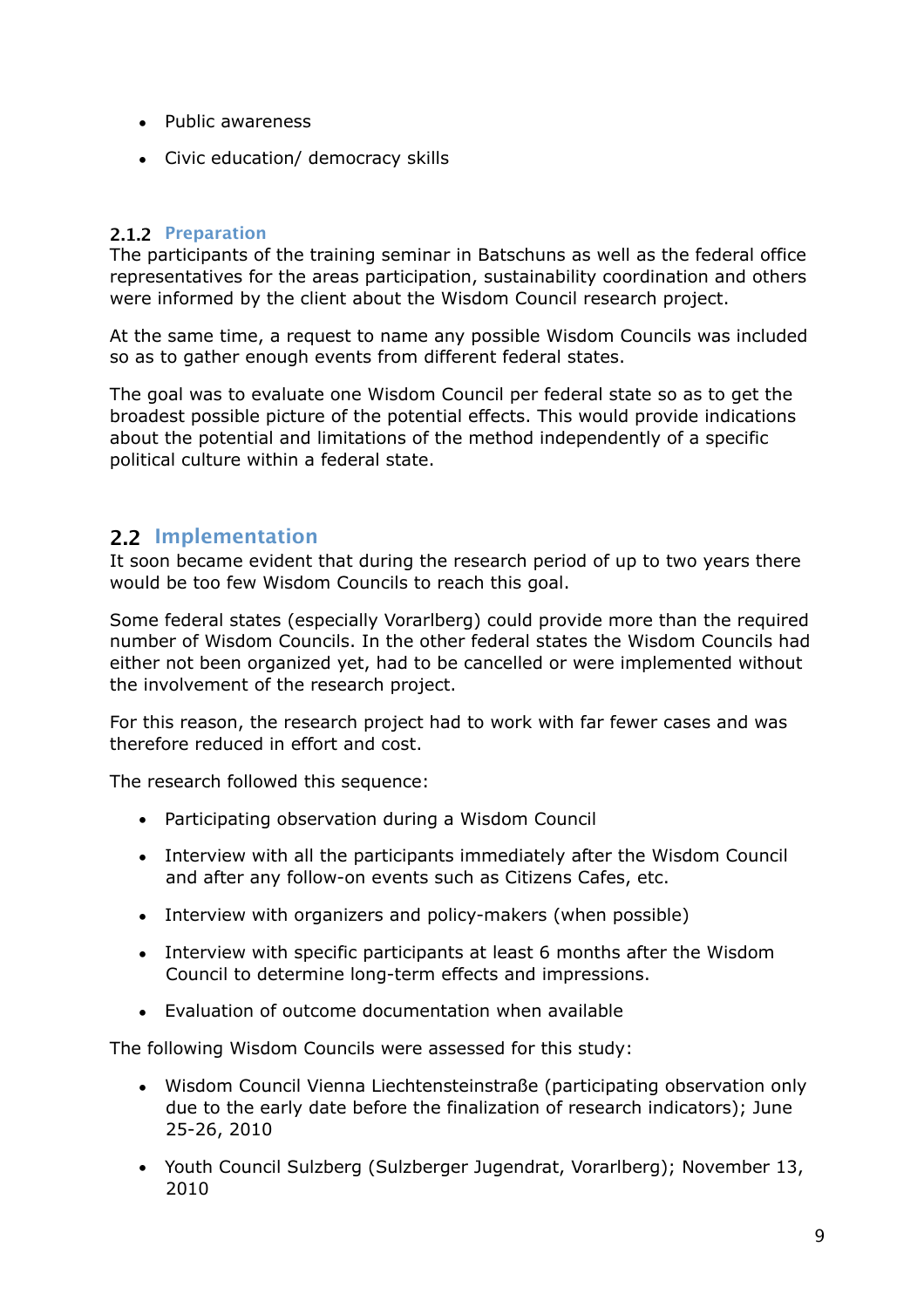- Public awareness
- Civic education/ democracy skills

#### <span id="page-8-0"></span>**2.1.2 Preparation**

The participants of the training seminar in Batschuns as well as the federal office representatives for the areas participation, sustainability coordination and others were informed by the client about the Wisdom Council research project.

At the same time, a request to name any possible Wisdom Councils was included so as to gather enough events from different federal states.

The goal was to evaluate one Wisdom Council per federal state so as to get the broadest possible picture of the potential effects. This would provide indications about the potential and limitations of the method independently of a specific political culture within a federal state.

#### <span id="page-8-1"></span>**2.2 Implementation**

It soon became evident that during the research period of up to two years there would be too few Wisdom Councils to reach this goal.

Some federal states (especially Vorarlberg) could provide more than the required number of Wisdom Councils. In the other federal states the Wisdom Councils had either not been organized yet, had to be cancelled or were implemented without the involvement of the research project.

For this reason, the research project had to work with far fewer cases and was therefore reduced in effort and cost.

The research followed this sequence:

- Participating observation during a Wisdom Council
- Interview with all the participants immediately after the Wisdom Council and after any follow-on events such as Citizens Cafes, etc.
- Interview with organizers and policy-makers (when possible)
- Interview with specific participants at least 6 months after the Wisdom Council to determine long-term effects and impressions.
- Evaluation of outcome documentation when available

The following Wisdom Councils were assessed for this study:

- Wisdom Council Vienna Liechtensteinstraße (participating observation only due to the early date before the finalization of research indicators); June 25-26, 2010
- Youth Council Sulzberg (Sulzberger Jugendrat, Vorarlberg); November 13, 2010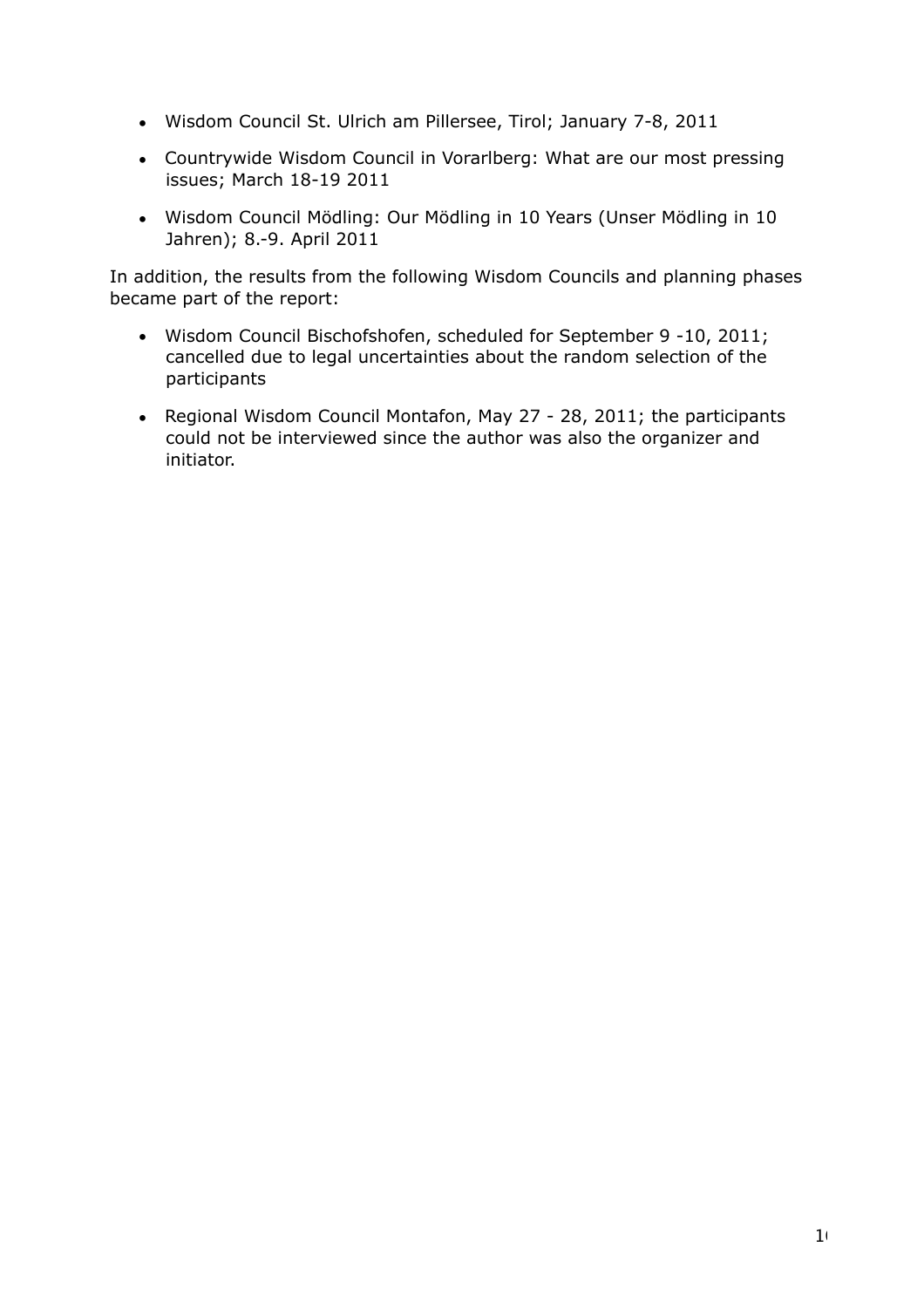- Wisdom Council St. Ulrich am Pillersee, Tirol; January 7-8, 2011
- Countrywide Wisdom Council in Vorarlberg: What are our most pressing issues; March 18-19 2011
- Wisdom Council Mödling: Our Mödling in 10 Years (Unser Mödling in 10 Jahren); 8.-9. April 2011

In addition, the results from the following Wisdom Councils and planning phases became part of the report:

- Wisdom Council Bischofshofen, scheduled for September 9 -10, 2011; cancelled due to legal uncertainties about the random selection of the participants
- Regional Wisdom Council Montafon, May 27 28, 2011; the participants could not be interviewed since the author was also the organizer and initiator.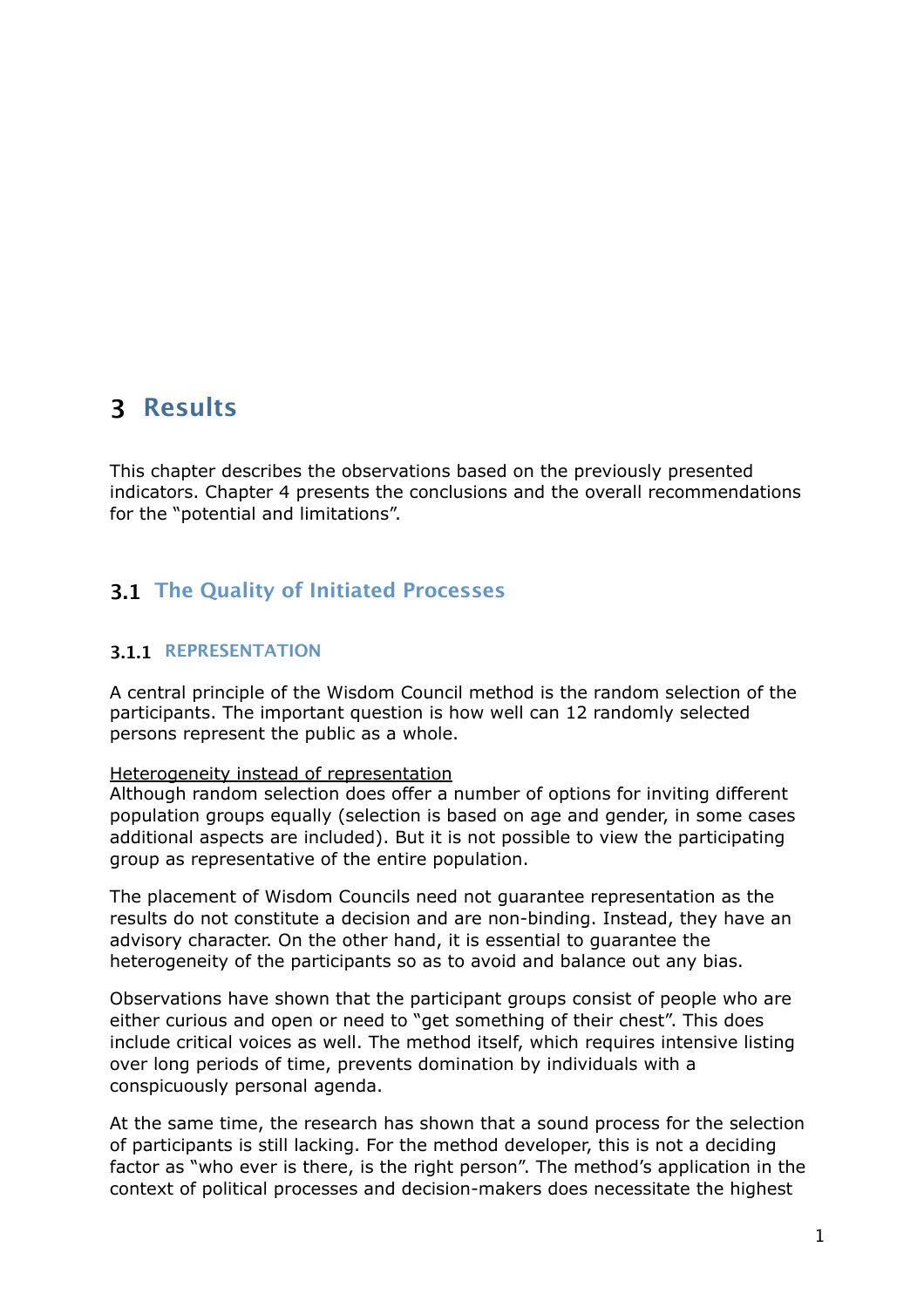### <span id="page-10-0"></span>**3 Results**

This chapter describes the observations based on the previously presented indicators. Chapter 4 presents the conclusions and the overall recommendations for the "potential and limitations".

#### <span id="page-10-1"></span>**3.1 The Quality of Initiated Processes**

#### <span id="page-10-2"></span>**3.1.1 REPRESENTATION**

A central principle of the Wisdom Council method is the random selection of the participants. The important question is how well can 12 randomly selected persons represent the public as a whole.

#### Heterogeneity instead of representation

Although random selection does offer a number of options for inviting different population groups equally (selection is based on age and gender, in some cases additional aspects are included). But it is not possible to view the participating group as representative of the entire population.

The placement of Wisdom Councils need not guarantee representation as the results do not constitute a decision and are non-binding. Instead, they have an advisory character. On the other hand, it is essential to guarantee the heterogeneity of the participants so as to avoid and balance out any bias.

Observations have shown that the participant groups consist of people who are either curious and open or need to "get something of their chest". This does include critical voices as well. The method itself, which requires intensive listing over long periods of time, prevents domination by individuals with a conspicuously personal agenda.

At the same time, the research has shown that a sound process for the selection of participants is still lacking. For the method developer, this is not a deciding factor as "who ever is there, is the right person". The method's application in the context of political processes and decision-makers does necessitate the highest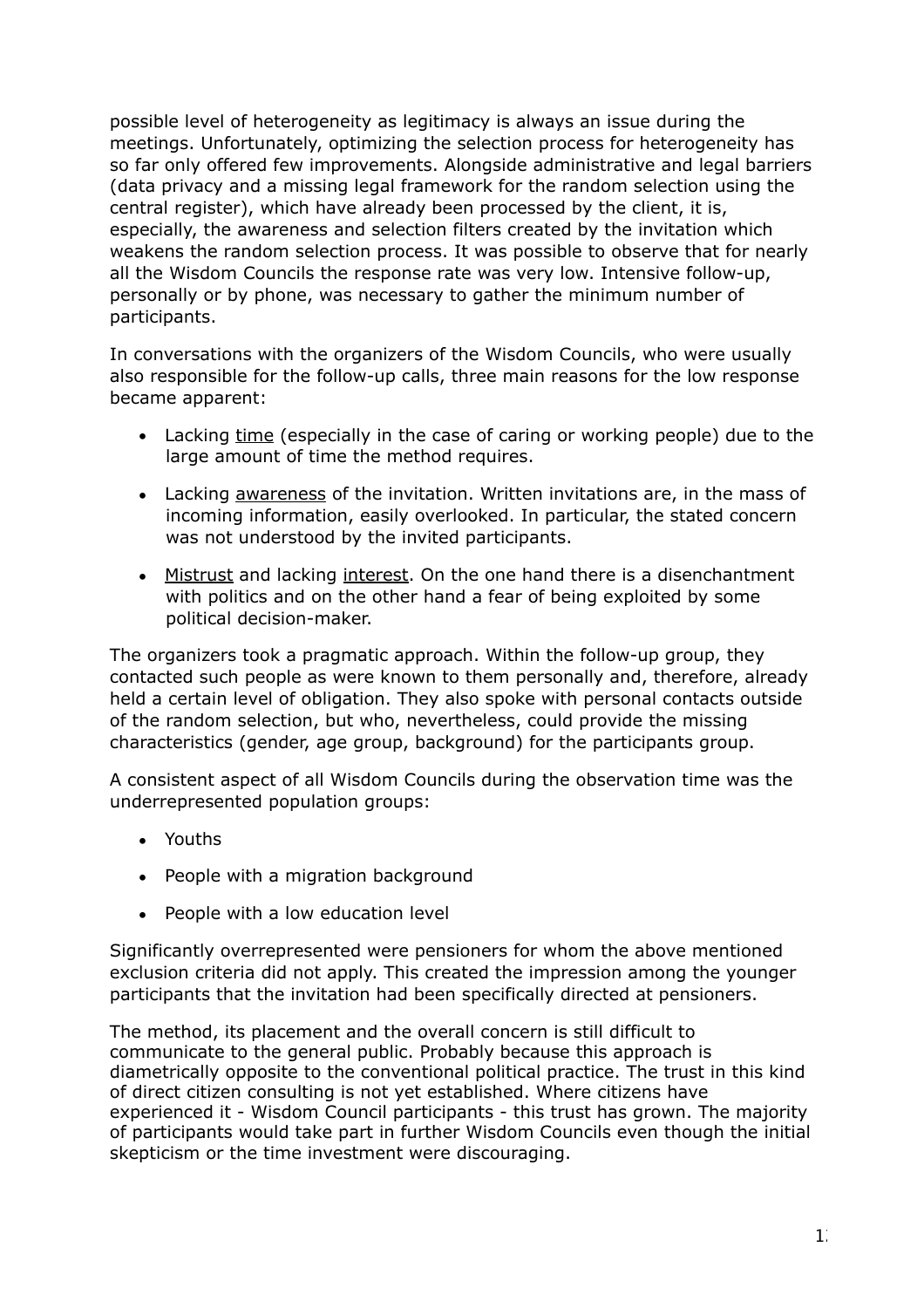possible level of heterogeneity as legitimacy is always an issue during the meetings. Unfortunately, optimizing the selection process for heterogeneity has so far only offered few improvements. Alongside administrative and legal barriers (data privacy and a missing legal framework for the random selection using the central register), which have already been processed by the client, it is, especially, the awareness and selection filters created by the invitation which weakens the random selection process. It was possible to observe that for nearly all the Wisdom Councils the response rate was very low. Intensive follow-up, personally or by phone, was necessary to gather the minimum number of participants.

In conversations with the organizers of the Wisdom Councils, who were usually also responsible for the follow-up calls, three main reasons for the low response became apparent:

- Lacking time (especially in the case of caring or working people) due to the large amount of time the method requires.
- Lacking awareness of the invitation. Written invitations are, in the mass of incoming information, easily overlooked. In particular, the stated concern was not understood by the invited participants.
- Mistrust and lacking interest. On the one hand there is a disenchantment with politics and on the other hand a fear of being exploited by some political decision-maker.

The organizers took a pragmatic approach. Within the follow-up group, they contacted such people as were known to them personally and, therefore, already held a certain level of obligation. They also spoke with personal contacts outside of the random selection, but who, nevertheless, could provide the missing characteristics (gender, age group, background) for the participants group.

A consistent aspect of all Wisdom Councils during the observation time was the underrepresented population groups:

- Youths
- People with a migration background
- People with a low education level

Significantly overrepresented were pensioners for whom the above mentioned exclusion criteria did not apply. This created the impression among the younger participants that the invitation had been specifically directed at pensioners.

The method, its placement and the overall concern is still difficult to communicate to the general public. Probably because this approach is diametrically opposite to the conventional political practice. The trust in this kind of direct citizen consulting is not yet established. Where citizens have experienced it - Wisdom Council participants - this trust has grown. The majority of participants would take part in further Wisdom Councils even though the initial skepticism or the time investment were discouraging.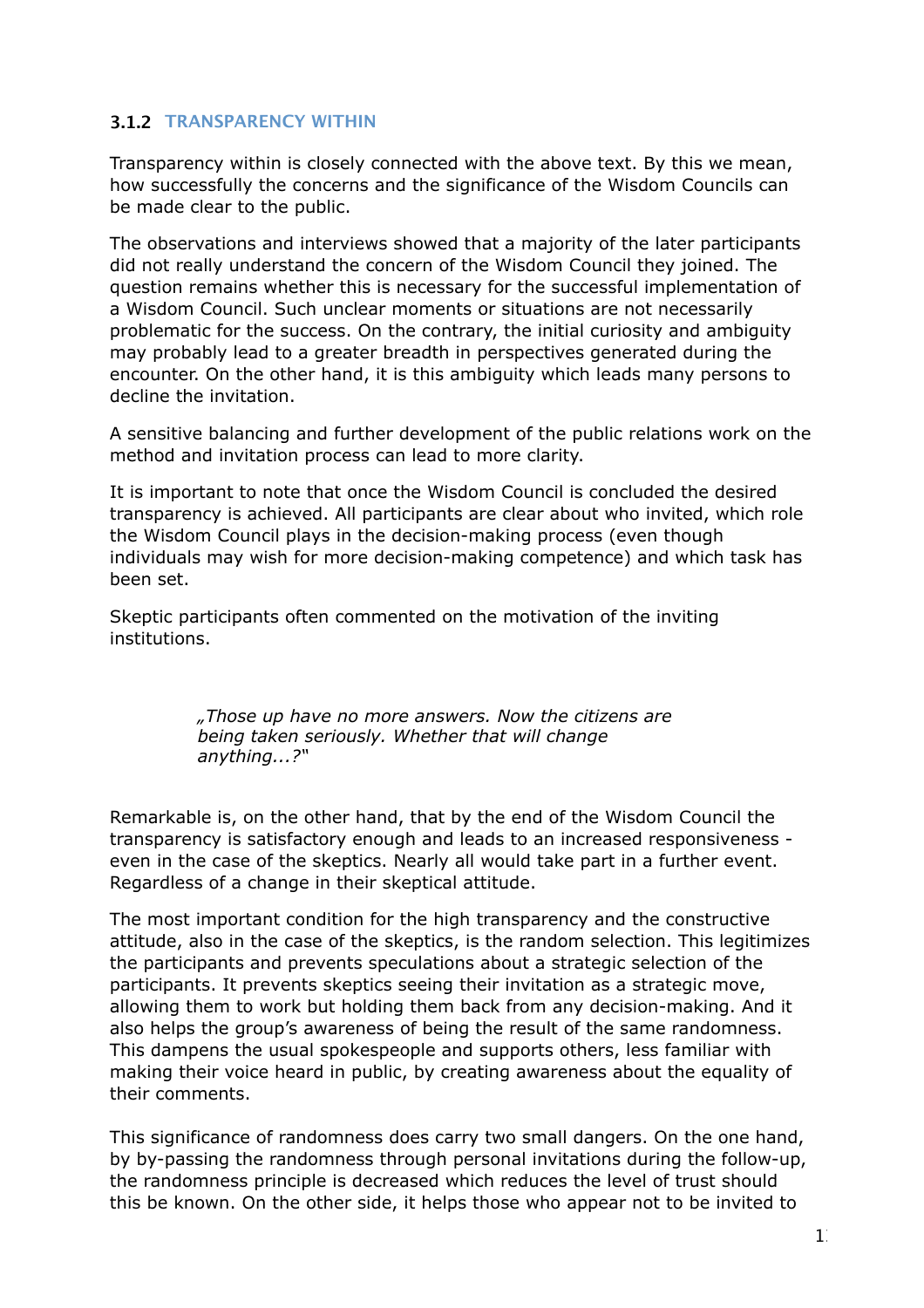#### <span id="page-12-0"></span>**3.1.2 TRANSPARENCY WITHIN**

Transparency within is closely connected with the above text. By this we mean, how successfully the concerns and the significance of the Wisdom Councils can be made clear to the public.

The observations and interviews showed that a majority of the later participants did not really understand the concern of the Wisdom Council they joined. The question remains whether this is necessary for the successful implementation of a Wisdom Council. Such unclear moments or situations are not necessarily problematic for the success. On the contrary, the initial curiosity and ambiguity may probably lead to a greater breadth in perspectives generated during the encounter. On the other hand, it is this ambiguity which leads many persons to decline the invitation.

A sensitive balancing and further development of the public relations work on the method and invitation process can lead to more clarity.

It is important to note that once the Wisdom Council is concluded the desired transparency is achieved. All participants are clear about who invited, which role the Wisdom Council plays in the decision-making process (even though individuals may wish for more decision-making competence) and which task has been set.

Skeptic participants often commented on the motivation of the inviting institutions.

> *"Those up have no more answers. Now the citizens are being taken seriously. Whether that will change anything...?"*

Remarkable is, on the other hand, that by the end of the Wisdom Council the transparency is satisfactory enough and leads to an increased responsiveness even in the case of the skeptics. Nearly all would take part in a further event. Regardless of a change in their skeptical attitude.

The most important condition for the high transparency and the constructive attitude, also in the case of the skeptics, is the random selection. This legitimizes the participants and prevents speculations about a strategic selection of the participants. It prevents skeptics seeing their invitation as a strategic move, allowing them to work but holding them back from any decision-making. And it also helps the group's awareness of being the result of the same randomness. This dampens the usual spokespeople and supports others, less familiar with making their voice heard in public, by creating awareness about the equality of their comments.

This significance of randomness does carry two small dangers. On the one hand, by by-passing the randomness through personal invitations during the follow-up, the randomness principle is decreased which reduces the level of trust should this be known. On the other side, it helps those who appear not to be invited to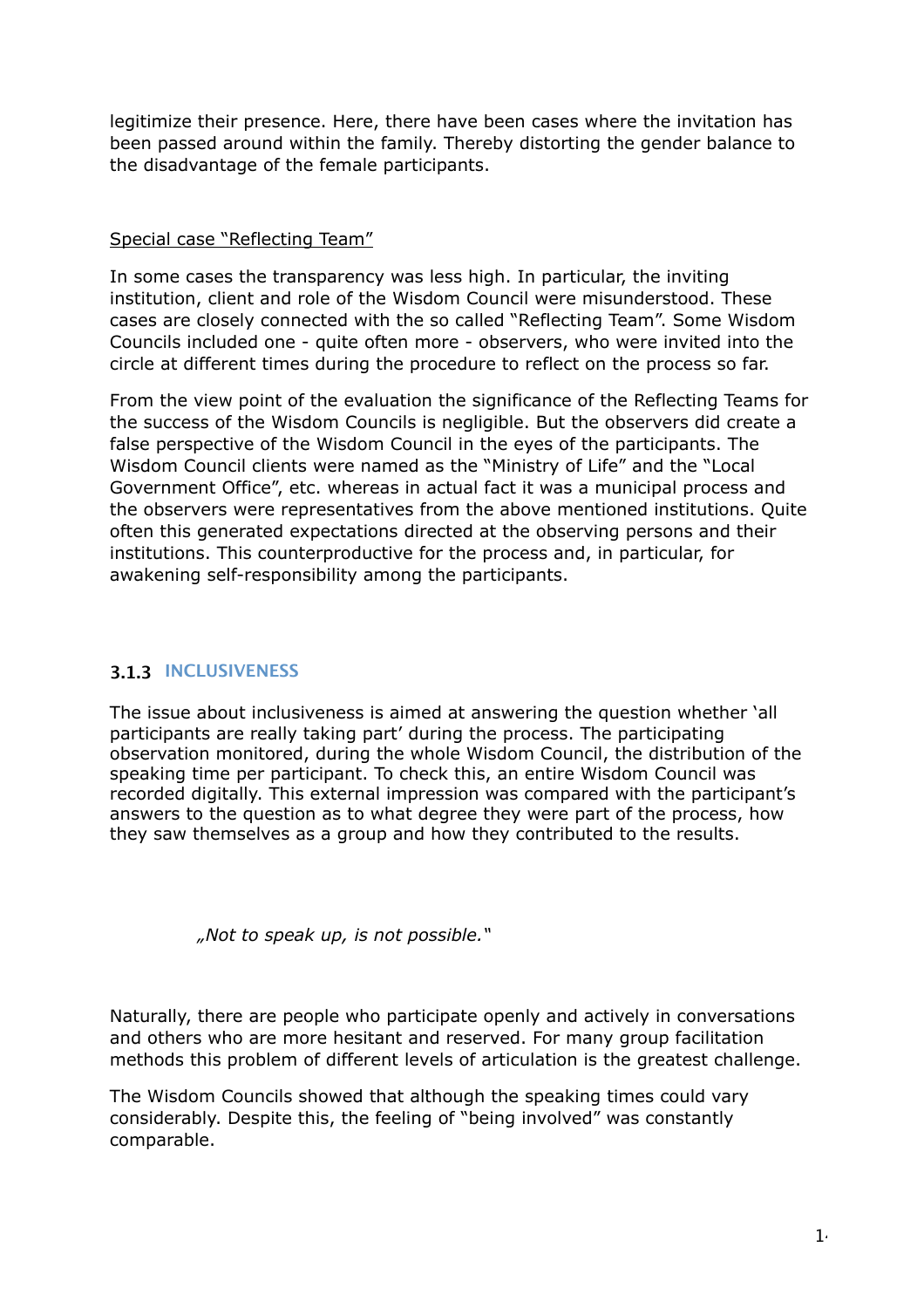legitimize their presence. Here, there have been cases where the invitation has been passed around within the family. Thereby distorting the gender balance to the disadvantage of the female participants.

#### Special case "Reflecting Team"

In some cases the transparency was less high. In particular, the inviting institution, client and role of the Wisdom Council were misunderstood. These cases are closely connected with the so called "Reflecting Team". Some Wisdom Councils included one - quite often more - observers, who were invited into the circle at different times during the procedure to reflect on the process so far.

From the view point of the evaluation the significance of the Reflecting Teams for the success of the Wisdom Councils is negligible. But the observers did create a false perspective of the Wisdom Council in the eyes of the participants. The Wisdom Council clients were named as the "Ministry of Life" and the "Local Government Office", etc. whereas in actual fact it was a municipal process and the observers were representatives from the above mentioned institutions. Quite often this generated expectations directed at the observing persons and their institutions. This counterproductive for the process and, in particular, for awakening self-responsibility among the participants.

#### <span id="page-13-0"></span>**3.1.3 INCLUSIVENESS**

The issue about inclusiveness is aimed at answering the question whether 'all participants are really taking part' during the process. The participating observation monitored, during the whole Wisdom Council, the distribution of the speaking time per participant. To check this, an entire Wisdom Council was recorded digitally. This external impression was compared with the participant's answers to the question as to what degree they were part of the process, how they saw themselves as a group and how they contributed to the results.

*"Not to speak up, is not possible."*

Naturally, there are people who participate openly and actively in conversations and others who are more hesitant and reserved. For many group facilitation methods this problem of different levels of articulation is the greatest challenge.

The Wisdom Councils showed that although the speaking times could vary considerably. Despite this, the feeling of "being involved" was constantly comparable.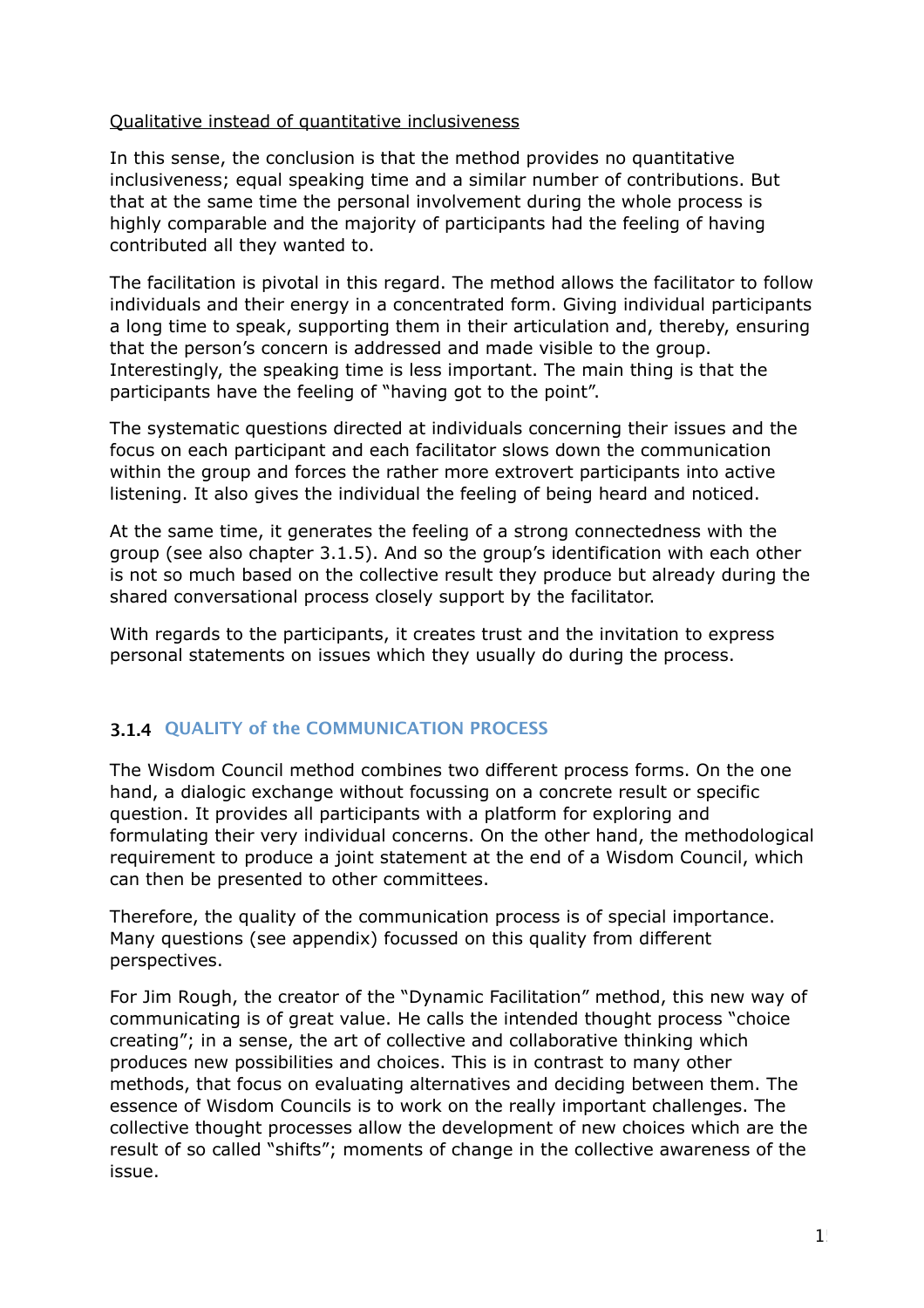#### Qualitative instead of quantitative inclusiveness

In this sense, the conclusion is that the method provides no quantitative inclusiveness; equal speaking time and a similar number of contributions. But that at the same time the personal involvement during the whole process is highly comparable and the majority of participants had the feeling of having contributed all they wanted to.

The facilitation is pivotal in this regard. The method allows the facilitator to follow individuals and their energy in a concentrated form. Giving individual participants a long time to speak, supporting them in their articulation and, thereby, ensuring that the person's concern is addressed and made visible to the group. Interestingly, the speaking time is less important. The main thing is that the participants have the feeling of "having got to the point".

The systematic questions directed at individuals concerning their issues and the focus on each participant and each facilitator slows down the communication within the group and forces the rather more extrovert participants into active listening. It also gives the individual the feeling of being heard and noticed.

At the same time, it generates the feeling of a strong connectedness with the group (see also chapter 3.1.5). And so the group's identification with each other is not so much based on the collective result they produce but already during the shared conversational process closely support by the facilitator.

With regards to the participants, it creates trust and the invitation to express personal statements on issues which they usually do during the process.

#### <span id="page-14-0"></span>**3.1.4 QUALITY of the COMMUNICATION PROCESS**

The Wisdom Council method combines two different process forms. On the one hand, a dialogic exchange without focussing on a concrete result or specific question. It provides all participants with a platform for exploring and formulating their very individual concerns. On the other hand, the methodological requirement to produce a joint statement at the end of a Wisdom Council, which can then be presented to other committees.

Therefore, the quality of the communication process is of special importance. Many questions (see appendix) focussed on this quality from different perspectives.

For Jim Rough, the creator of the "Dynamic Facilitation" method, this new way of communicating is of great value. He calls the intended thought process "choice creating"; in a sense, the art of collective and collaborative thinking which produces new possibilities and choices. This is in contrast to many other methods, that focus on evaluating alternatives and deciding between them. The essence of Wisdom Councils is to work on the really important challenges. The collective thought processes allow the development of new choices which are the result of so called "shifts"; moments of change in the collective awareness of the issue.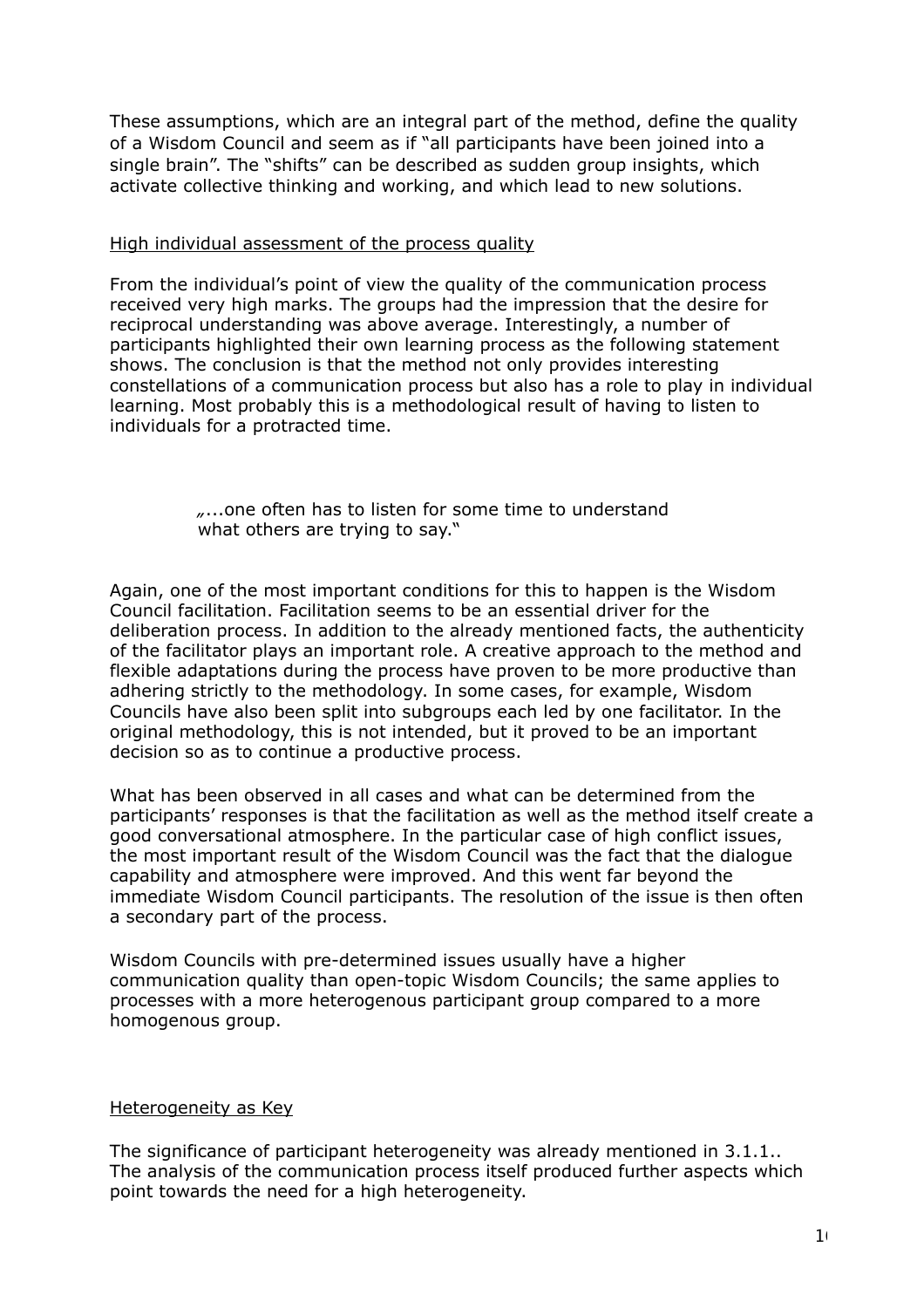These assumptions, which are an integral part of the method, define the quality of a Wisdom Council and seem as if "all participants have been joined into a single brain". The "shifts" can be described as sudden group insights, which activate collective thinking and working, and which lead to new solutions.

#### High individual assessment of the process quality

From the individual's point of view the quality of the communication process received very high marks. The groups had the impression that the desire for reciprocal understanding was above average. Interestingly, a number of participants highlighted their own learning process as the following statement shows. The conclusion is that the method not only provides interesting constellations of a communication process but also has a role to play in individual learning. Most probably this is a methodological result of having to listen to individuals for a protracted time.

#### *"*...one often has to listen for some time to understand what others are trying to say."

Again, one of the most important conditions for this to happen is the Wisdom Council facilitation. Facilitation seems to be an essential driver for the deliberation process. In addition to the already mentioned facts, the authenticity of the facilitator plays an important role. A creative approach to the method and flexible adaptations during the process have proven to be more productive than adhering strictly to the methodology. In some cases, for example, Wisdom Councils have also been split into subgroups each led by one facilitator. In the original methodology, this is not intended, but it proved to be an important decision so as to continue a productive process.

What has been observed in all cases and what can be determined from the participants' responses is that the facilitation as well as the method itself create a good conversational atmosphere. In the particular case of high conflict issues, the most important result of the Wisdom Council was the fact that the dialogue capability and atmosphere were improved. And this went far beyond the immediate Wisdom Council participants. The resolution of the issue is then often a secondary part of the process.

Wisdom Councils with pre-determined issues usually have a higher communication quality than open-topic Wisdom Councils; the same applies to processes with a more heterogenous participant group compared to a more homogenous group.

#### Heterogeneity as Key

The significance of participant heterogeneity was already mentioned in 3.1.1.. The analysis of the communication process itself produced further aspects which point towards the need for a high heterogeneity.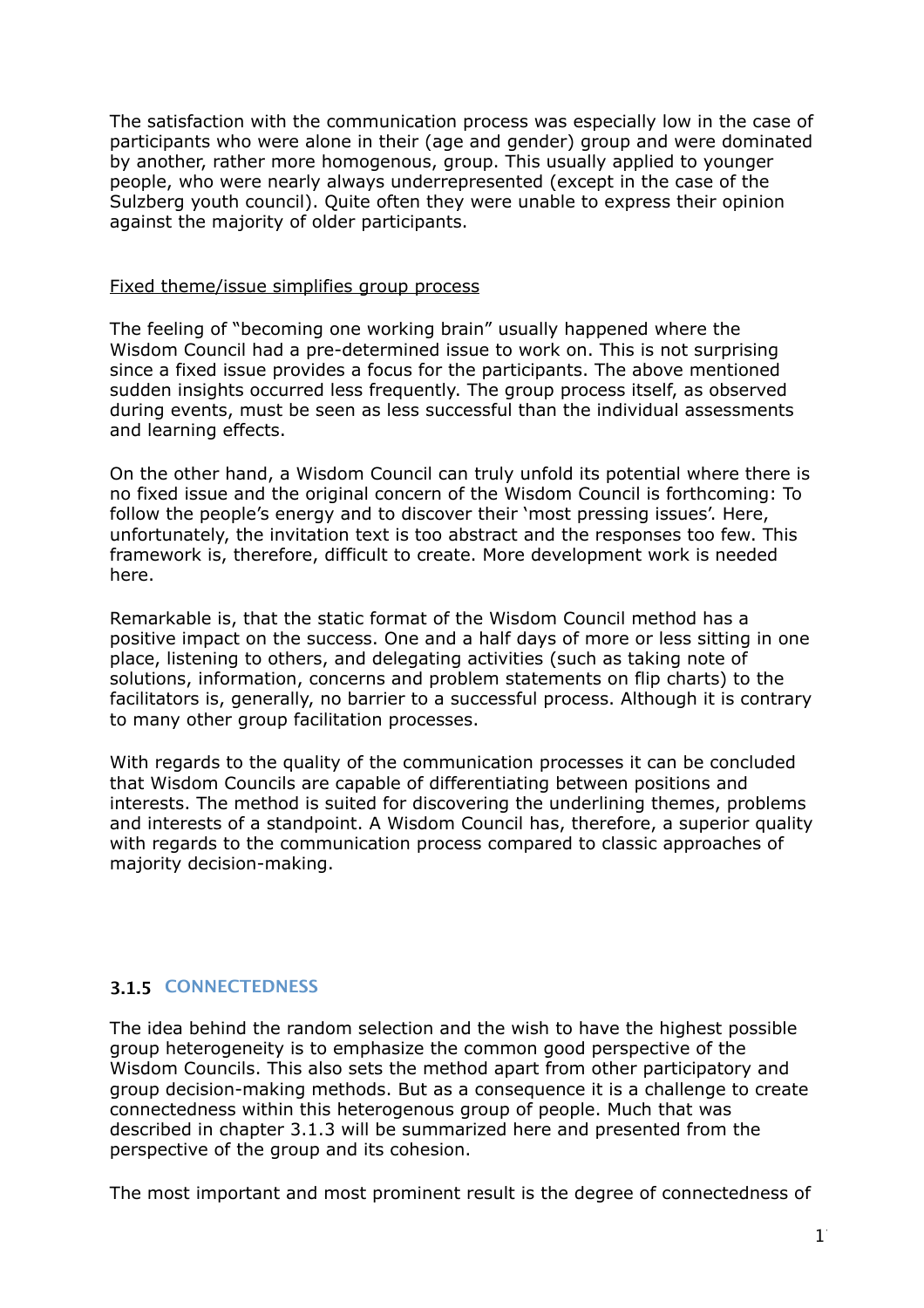The satisfaction with the communication process was especially low in the case of participants who were alone in their (age and gender) group and were dominated by another, rather more homogenous, group. This usually applied to younger people, who were nearly always underrepresented (except in the case of the Sulzberg youth council). Quite often they were unable to express their opinion against the majority of older participants.

#### Fixed theme/issue simplifies group process

The feeling of "becoming one working brain" usually happened where the Wisdom Council had a pre-determined issue to work on. This is not surprising since a fixed issue provides a focus for the participants. The above mentioned sudden insights occurred less frequently. The group process itself, as observed during events, must be seen as less successful than the individual assessments and learning effects.

On the other hand, a Wisdom Council can truly unfold its potential where there is no fixed issue and the original concern of the Wisdom Council is forthcoming: To follow the people's energy and to discover their 'most pressing issues'. Here, unfortunately, the invitation text is too abstract and the responses too few. This framework is, therefore, difficult to create. More development work is needed here.

Remarkable is, that the static format of the Wisdom Council method has a positive impact on the success. One and a half days of more or less sitting in one place, listening to others, and delegating activities (such as taking note of solutions, information, concerns and problem statements on flip charts) to the facilitators is, generally, no barrier to a successful process. Although it is contrary to many other group facilitation processes.

With regards to the quality of the communication processes it can be concluded that Wisdom Councils are capable of differentiating between positions and interests. The method is suited for discovering the underlining themes, problems and interests of a standpoint. A Wisdom Council has, therefore, a superior quality with regards to the communication process compared to classic approaches of majority decision-making.

#### <span id="page-16-0"></span>**3.1.5 CONNECTEDNESS**

The idea behind the random selection and the wish to have the highest possible group heterogeneity is to emphasize the common good perspective of the Wisdom Councils. This also sets the method apart from other participatory and group decision-making methods. But as a consequence it is a challenge to create connectedness within this heterogenous group of people. Much that was described in chapter 3.1.3 will be summarized here and presented from the perspective of the group and its cohesion.

The most important and most prominent result is the degree of connectedness of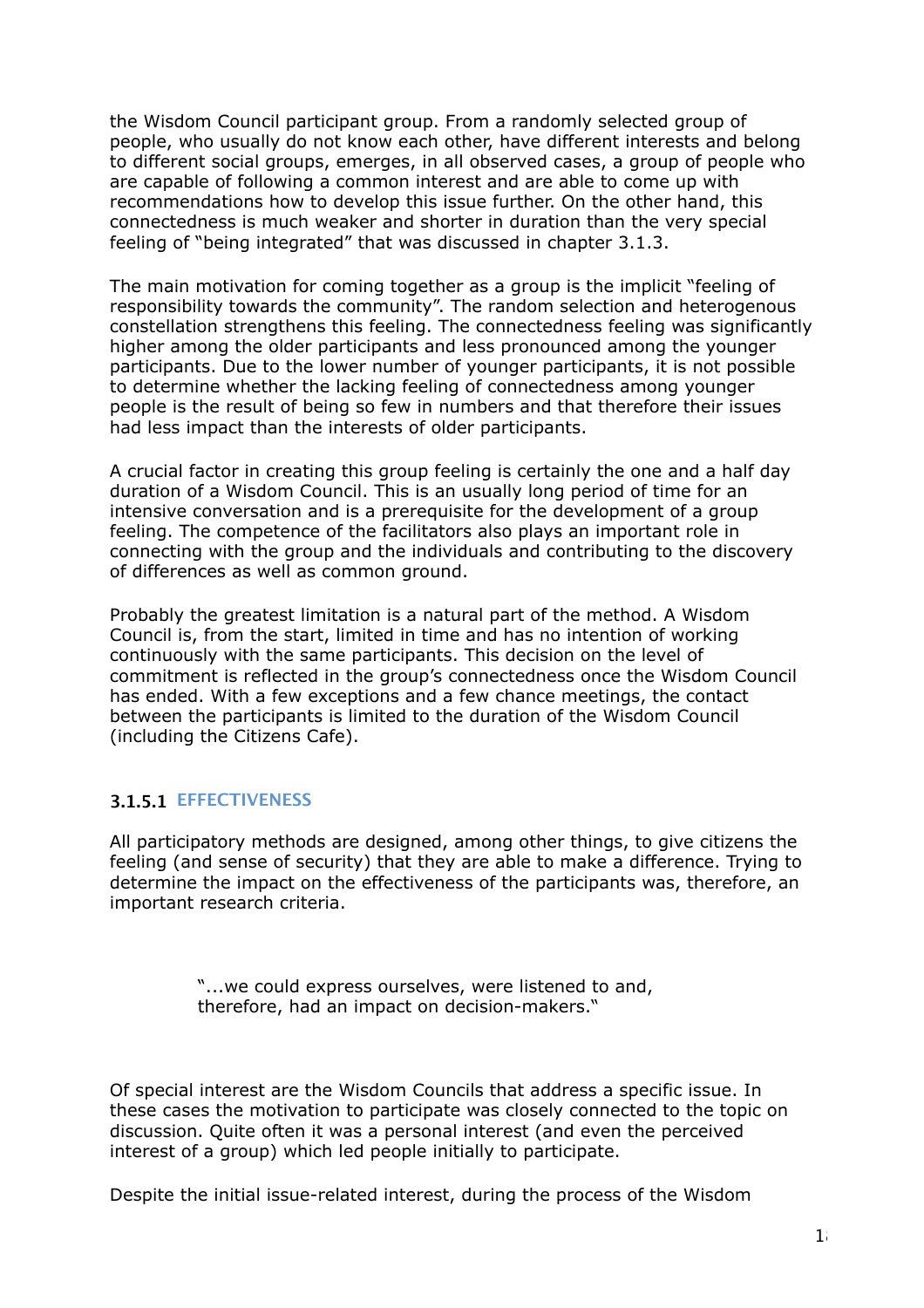the Wisdom Council participant group. From a randomly selected group of people, who usually do not know each other, have different interests and belong to different social groups, emerges, in all observed cases, a group of people who are capable of following a common interest and are able to come up with recommendations how to develop this issue further. On the other hand, this connectedness is much weaker and shorter in duration than the very special feeling of "being integrated" that was discussed in chapter 3.1.3.

The main motivation for coming together as a group is the implicit "feeling of responsibility towards the community". The random selection and heterogenous constellation strengthens this feeling. The connectedness feeling was significantly higher among the older participants and less pronounced among the younger participants. Due to the lower number of younger participants, it is not possible to determine whether the lacking feeling of connectedness among younger people is the result of being so few in numbers and that therefore their issues had less impact than the interests of older participants.

A crucial factor in creating this group feeling is certainly the one and a half day duration of a Wisdom Council. This is an usually long period of time for an intensive conversation and is a prerequisite for the development of a group feeling. The competence of the facilitators also plays an important role in connecting with the group and the individuals and contributing to the discovery of differences as well as common ground.

Probably the greatest limitation is a natural part of the method. A Wisdom Council is, from the start, limited in time and has no intention of working continuously with the same participants. This decision on the level of commitment is reflected in the group's connectedness once the Wisdom Council has ended. With a few exceptions and a few chance meetings, the contact between the participants is limited to the duration of the Wisdom Council (including the Citizens Cafe).

#### <span id="page-17-0"></span>**3.1.5.1 EFFECTIVENESS**

All participatory methods are designed, among other things, to give citizens the feeling (and sense of security) that they are able to make a difference. Trying to determine the impact on the effectiveness of the participants was, therefore, an important research criteria.

> "...we could express ourselves, were listened to and, therefore, had an impact on decision-makers."

Of special interest are the Wisdom Councils that address a specific issue. In these cases the motivation to participate was closely connected to the topic on discussion. Quite often it was a personal interest (and even the perceived interest of a group) which led people initially to participate.

Despite the initial issue-related interest, during the process of the Wisdom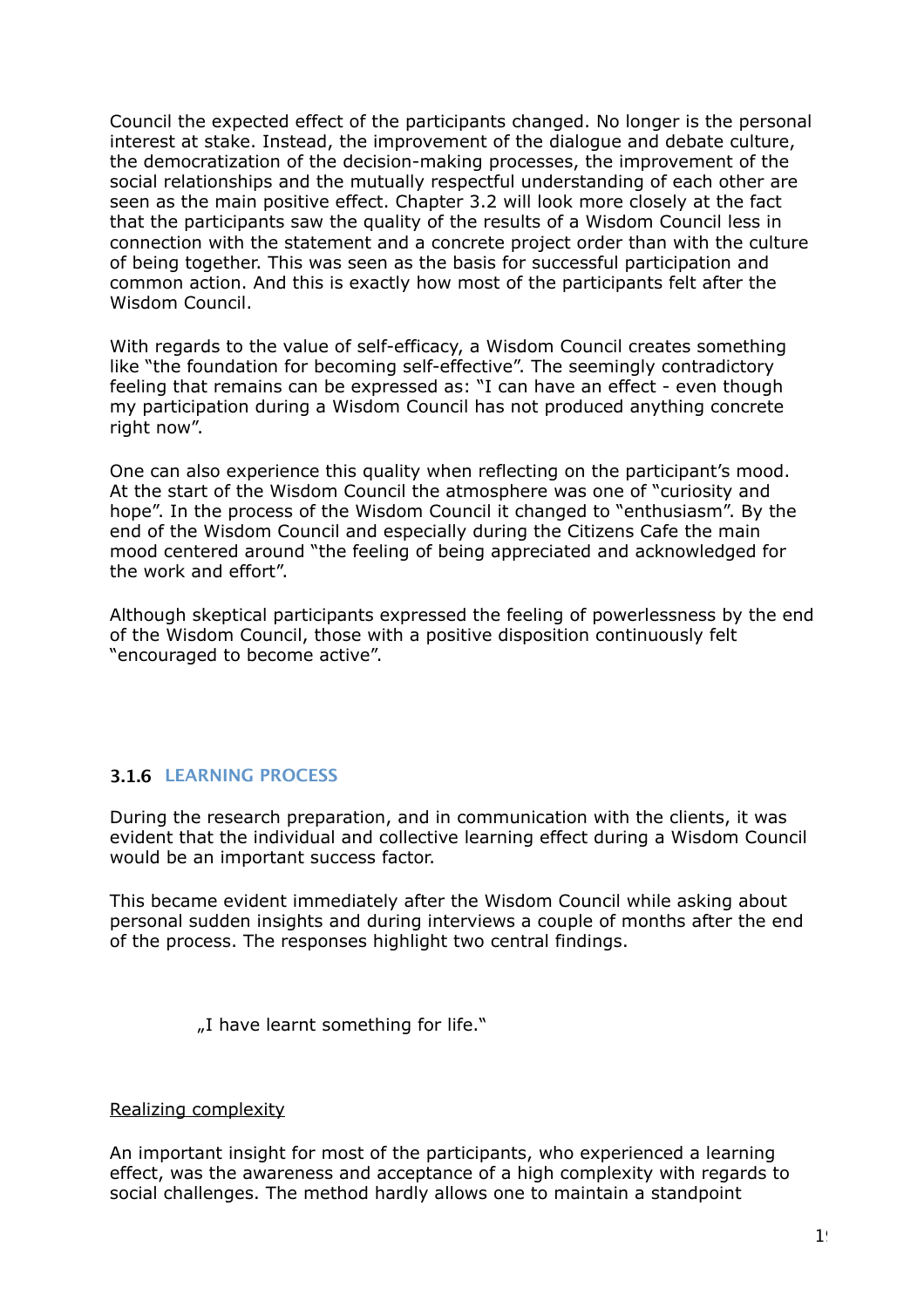Council the expected effect of the participants changed. No longer is the personal interest at stake. Instead, the improvement of the dialogue and debate culture, the democratization of the decision-making processes, the improvement of the social relationships and the mutually respectful understanding of each other are seen as the main positive effect. Chapter 3.2 will look more closely at the fact that the participants saw the quality of the results of a Wisdom Council less in connection with the statement and a concrete project order than with the culture of being together. This was seen as the basis for successful participation and common action. And this is exactly how most of the participants felt after the Wisdom Council.

With regards to the value of self-efficacy, a Wisdom Council creates something like "the foundation for becoming self-effective". The seemingly contradictory feeling that remains can be expressed as: "I can have an effect - even though my participation during a Wisdom Council has not produced anything concrete right now".

One can also experience this quality when reflecting on the participant's mood. At the start of the Wisdom Council the atmosphere was one of "curiosity and hope". In the process of the Wisdom Council it changed to "enthusiasm". By the end of the Wisdom Council and especially during the Citizens Cafe the main mood centered around "the feeling of being appreciated and acknowledged for the work and effort".

Although skeptical participants expressed the feeling of powerlessness by the end of the Wisdom Council, those with a positive disposition continuously felt "encouraged to become active".

#### <span id="page-18-0"></span>**3.1.6 LEARNING PROCESS**

During the research preparation, and in communication with the clients, it was evident that the individual and collective learning effect during a Wisdom Council would be an important success factor.

This became evident immediately after the Wisdom Council while asking about personal sudden insights and during interviews a couple of months after the end of the process. The responses highlight two central findings.

"I have learnt something for life."

#### Realizing complexity

An important insight for most of the participants, who experienced a learning effect, was the awareness and acceptance of a high complexity with regards to social challenges. The method hardly allows one to maintain a standpoint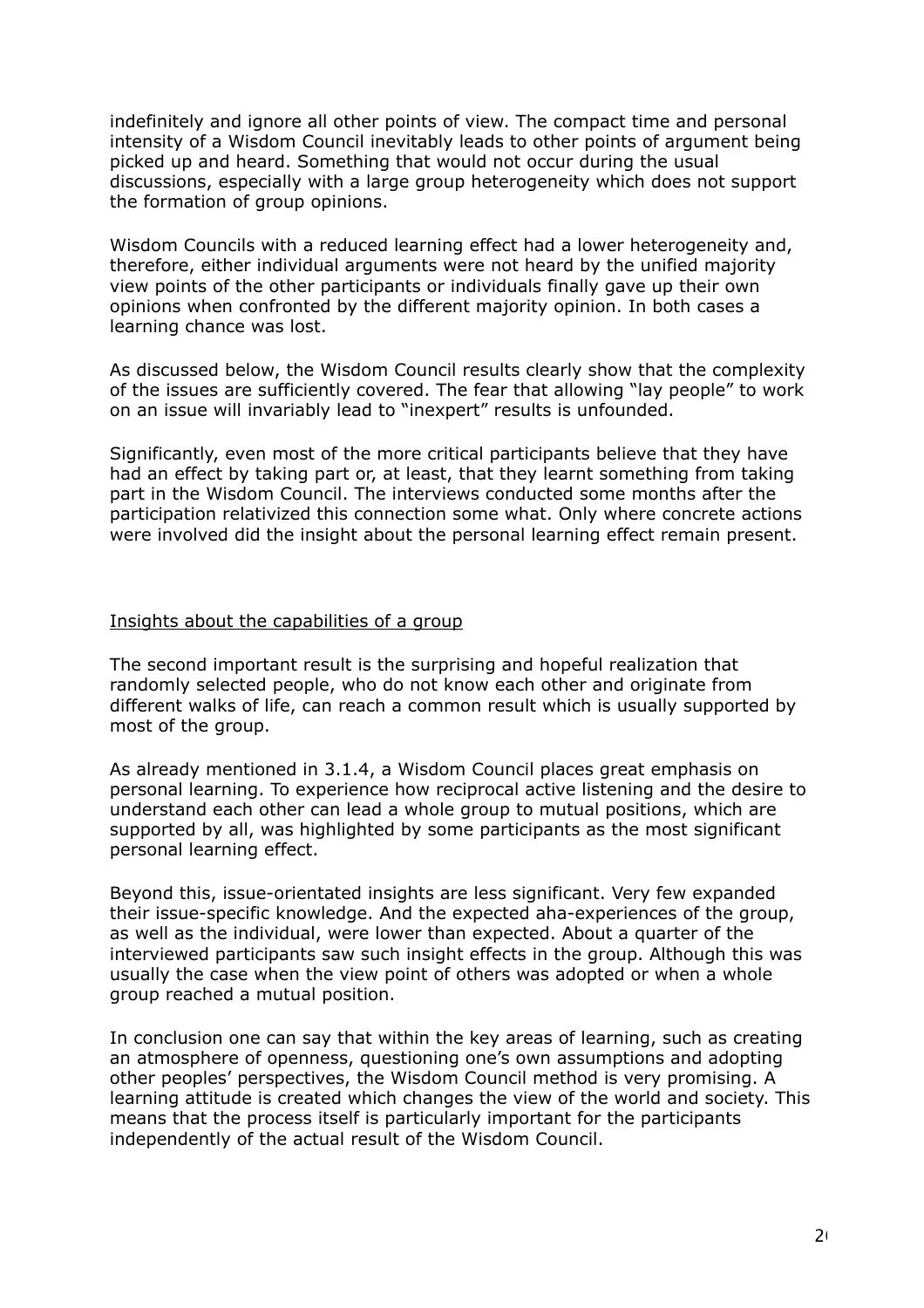indefinitely and ignore all other points of view. The compact time and personal intensity of a Wisdom Council inevitably leads to other points of argument being picked up and heard. Something that would not occur during the usual discussions, especially with a large group heterogeneity which does not support the formation of group opinions.

Wisdom Councils with a reduced learning effect had a lower heterogeneity and, therefore, either individual arguments were not heard by the unified majority view points of the other participants or individuals finally gave up their own opinions when confronted by the different majority opinion. In both cases a learning chance was lost.

As discussed below, the Wisdom Council results clearly show that the complexity of the issues are sufficiently covered. The fear that allowing "lay people" to work on an issue will invariably lead to "inexpert" results is unfounded.

Significantly, even most of the more critical participants believe that they have had an effect by taking part or, at least, that they learnt something from taking part in the Wisdom Council. The interviews conducted some months after the participation relativized this connection some what. Only where concrete actions were involved did the insight about the personal learning effect remain present.

#### Insights about the capabilities of a group

The second important result is the surprising and hopeful realization that randomly selected people, who do not know each other and originate from different walks of life, can reach a common result which is usually supported by most of the group.

As already mentioned in 3.1.4, a Wisdom Council places great emphasis on personal learning. To experience how reciprocal active listening and the desire to understand each other can lead a whole group to mutual positions, which are supported by all, was highlighted by some participants as the most significant personal learning effect.

Beyond this, issue-orientated insights are less significant. Very few expanded their issue-specific knowledge. And the expected aha-experiences of the group, as well as the individual, were lower than expected. About a quarter of the interviewed participants saw such insight effects in the group. Although this was usually the case when the view point of others was adopted or when a whole group reached a mutual position.

In conclusion one can say that within the key areas of learning, such as creating an atmosphere of openness, questioning one's own assumptions and adopting other peoples' perspectives, the Wisdom Council method is very promising. A learning attitude is created which changes the view of the world and society. This means that the process itself is particularly important for the participants independently of the actual result of the Wisdom Council.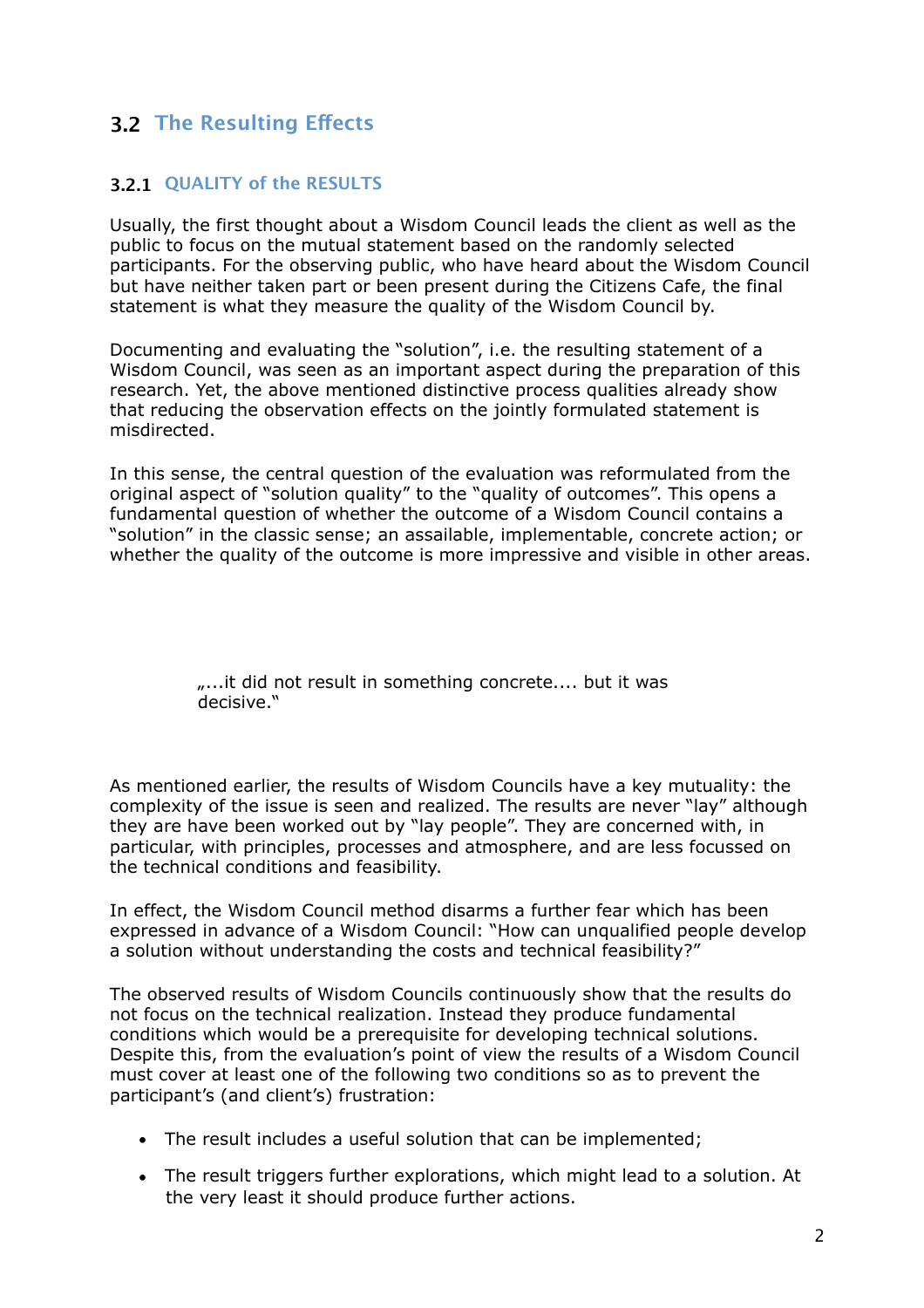#### <span id="page-20-0"></span>**3.2 The Resulting Efects**

#### <span id="page-20-1"></span>**3.2.1 QUALITY of the RESULTS**

Usually, the first thought about a Wisdom Council leads the client as well as the public to focus on the mutual statement based on the randomly selected participants. For the observing public, who have heard about the Wisdom Council but have neither taken part or been present during the Citizens Cafe, the final statement is what they measure the quality of the Wisdom Council by.

Documenting and evaluating the "solution", i.e. the resulting statement of a Wisdom Council, was seen as an important aspect during the preparation of this research. Yet, the above mentioned distinctive process qualities already show that reducing the observation effects on the jointly formulated statement is misdirected.

In this sense, the central question of the evaluation was reformulated from the original aspect of "solution quality" to the "quality of outcomes". This opens a fundamental question of whether the outcome of a Wisdom Council contains a "solution" in the classic sense; an assailable, implementable, concrete action; or whether the quality of the outcome is more impressive and visible in other areas.

#### ....it did not result in something concrete.... but it was decisive."

As mentioned earlier, the results of Wisdom Councils have a key mutuality: the complexity of the issue is seen and realized. The results are never "lay" although they are have been worked out by "lay people". They are concerned with, in particular, with principles, processes and atmosphere, and are less focussed on the technical conditions and feasibility.

In effect, the Wisdom Council method disarms a further fear which has been expressed in advance of a Wisdom Council: "How can unqualified people develop a solution without understanding the costs and technical feasibility?"

The observed results of Wisdom Councils continuously show that the results do not focus on the technical realization. Instead they produce fundamental conditions which would be a prerequisite for developing technical solutions. Despite this, from the evaluation's point of view the results of a Wisdom Council must cover at least one of the following two conditions so as to prevent the participant's (and client's) frustration:

- The result includes a useful solution that can be implemented;
- The result triggers further explorations, which might lead to a solution. At the very least it should produce further actions.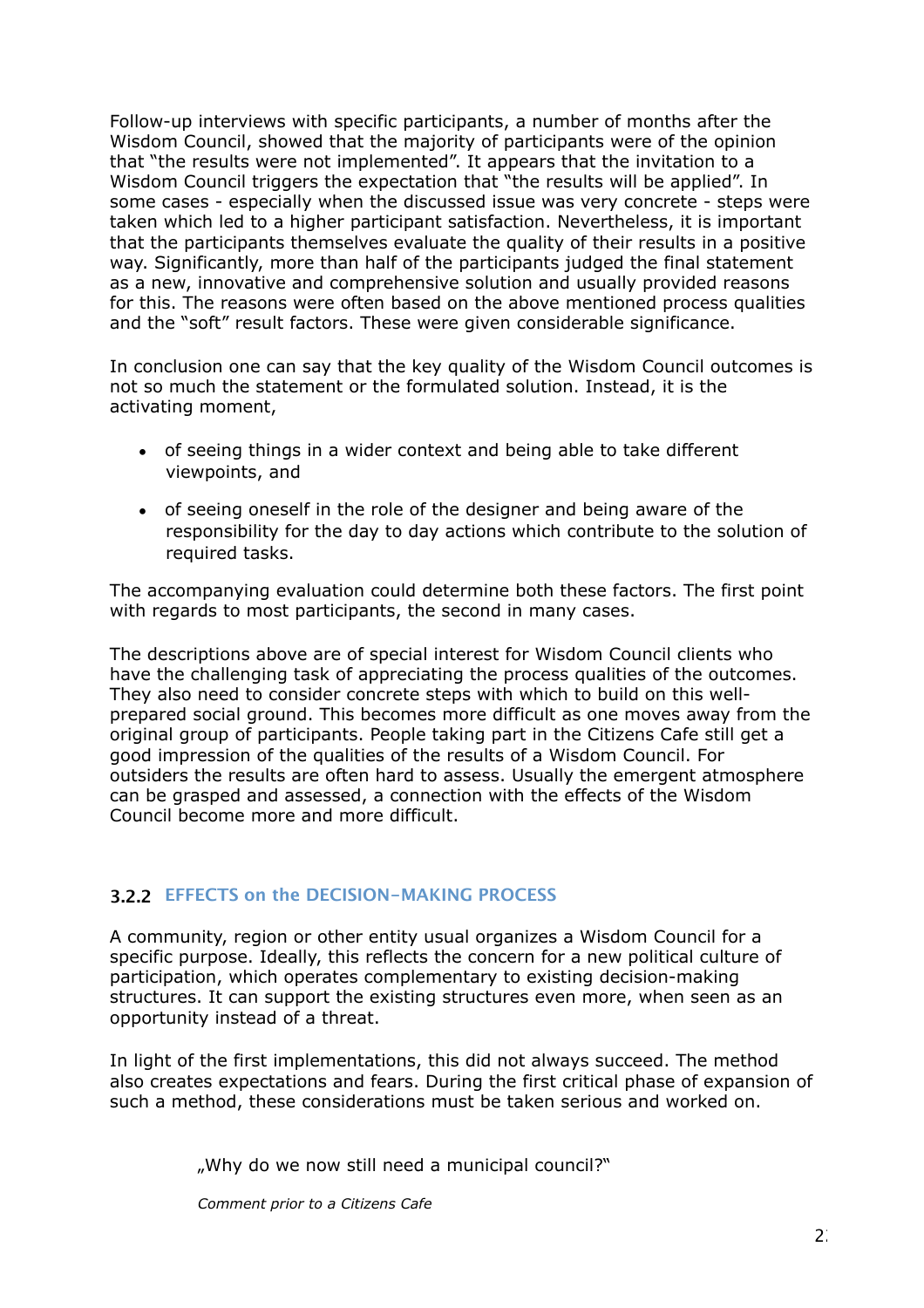Follow-up interviews with specific participants, a number of months after the Wisdom Council, showed that the majority of participants were of the opinion that "the results were not implemented". It appears that the invitation to a Wisdom Council triggers the expectation that "the results will be applied". In some cases - especially when the discussed issue was very concrete - steps were taken which led to a higher participant satisfaction. Nevertheless, it is important that the participants themselves evaluate the quality of their results in a positive way. Significantly, more than half of the participants judged the final statement as a new, innovative and comprehensive solution and usually provided reasons for this. The reasons were often based on the above mentioned process qualities and the "soft" result factors. These were given considerable significance.

In conclusion one can say that the key quality of the Wisdom Council outcomes is not so much the statement or the formulated solution. Instead, it is the activating moment,

- of seeing things in a wider context and being able to take different viewpoints, and
- of seeing oneself in the role of the designer and being aware of the responsibility for the day to day actions which contribute to the solution of required tasks.

The accompanying evaluation could determine both these factors. The first point with regards to most participants, the second in many cases.

The descriptions above are of special interest for Wisdom Council clients who have the challenging task of appreciating the process qualities of the outcomes. They also need to consider concrete steps with which to build on this wellprepared social ground. This becomes more difficult as one moves away from the original group of participants. People taking part in the Citizens Cafe still get a good impression of the qualities of the results of a Wisdom Council. For outsiders the results are often hard to assess. Usually the emergent atmosphere can be grasped and assessed, a connection with the effects of the Wisdom Council become more and more difficult.

#### <span id="page-21-0"></span>**3.2.2 EFFECTS on the DECISION-MAKING PROCESS**

A community, region or other entity usual organizes a Wisdom Council for a specific purpose. Ideally, this reflects the concern for a new political culture of participation, which operates complementary to existing decision-making structures. It can support the existing structures even more, when seen as an opportunity instead of a threat.

In light of the first implementations, this did not always succeed. The method also creates expectations and fears. During the first critical phase of expansion of such a method, these considerations must be taken serious and worked on.

"Why do we now still need a municipal council?"

*Comment prior to a Citizens Cafe*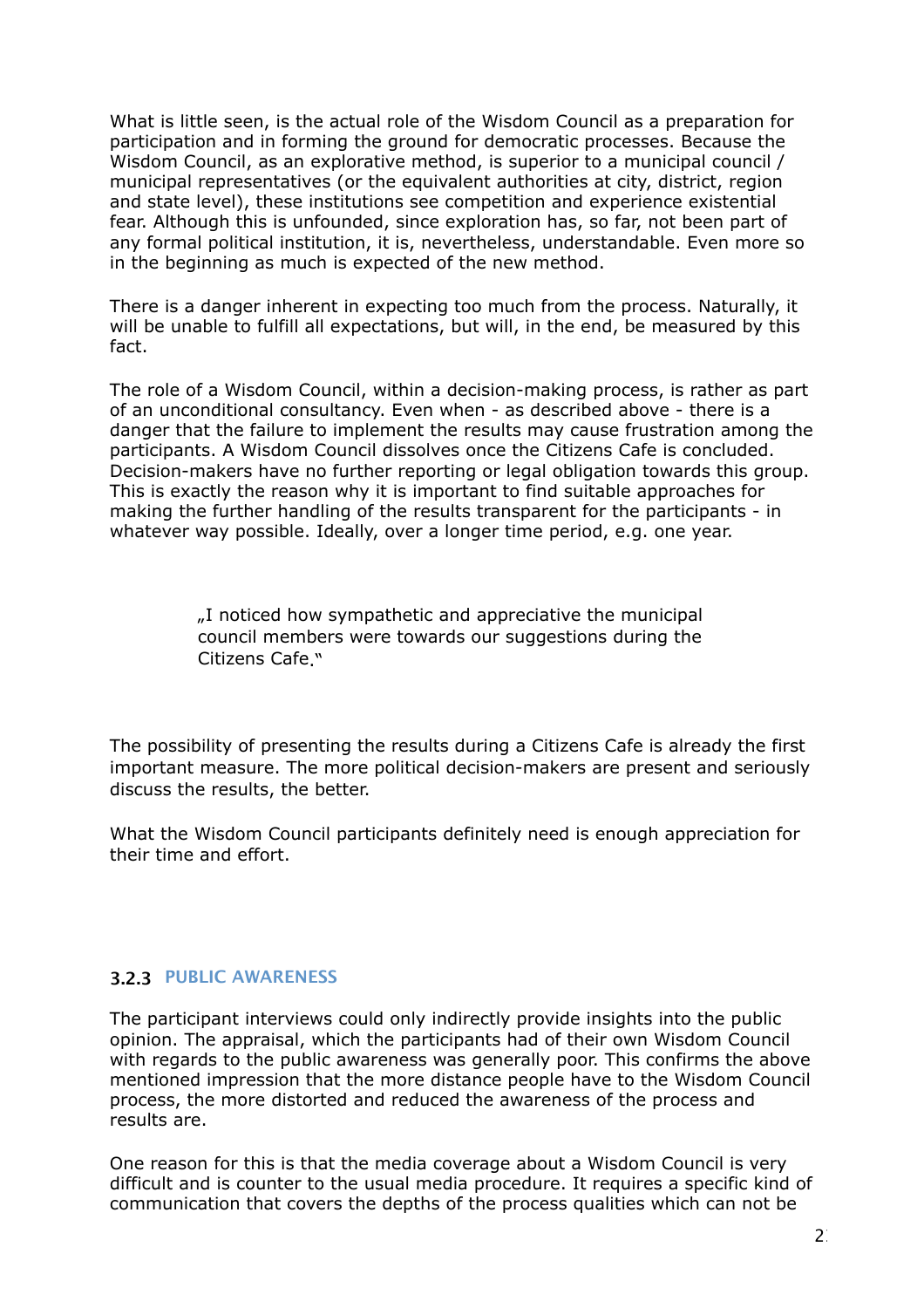What is little seen, is the actual role of the Wisdom Council as a preparation for participation and in forming the ground for democratic processes. Because the Wisdom Council, as an explorative method, is superior to a municipal council / municipal representatives (or the equivalent authorities at city, district, region and state level), these institutions see competition and experience existential fear. Although this is unfounded, since exploration has, so far, not been part of any formal political institution, it is, nevertheless, understandable. Even more so in the beginning as much is expected of the new method.

There is a danger inherent in expecting too much from the process. Naturally, it will be unable to fulfill all expectations, but will, in the end, be measured by this fact.

The role of a Wisdom Council, within a decision-making process, is rather as part of an unconditional consultancy. Even when - as described above - there is a danger that the failure to implement the results may cause frustration among the participants. A Wisdom Council dissolves once the Citizens Cafe is concluded. Decision-makers have no further reporting or legal obligation towards this group. This is exactly the reason why it is important to find suitable approaches for making the further handling of the results transparent for the participants - in whatever way possible. Ideally, over a longer time period, e.g. one year.

> "I noticed how sympathetic and appreciative the municipal council members were towards our suggestions during the Citizens Cafe."

The possibility of presenting the results during a Citizens Cafe is already the first important measure. The more political decision-makers are present and seriously discuss the results, the better.

What the Wisdom Council participants definitely need is enough appreciation for their time and effort.

#### <span id="page-22-0"></span>**3.2.3 PUBLIC AWARENESS**

The participant interviews could only indirectly provide insights into the public opinion. The appraisal, which the participants had of their own Wisdom Council with regards to the public awareness was generally poor. This confirms the above mentioned impression that the more distance people have to the Wisdom Council process, the more distorted and reduced the awareness of the process and results are.

One reason for this is that the media coverage about a Wisdom Council is very difficult and is counter to the usual media procedure. It requires a specific kind of communication that covers the depths of the process qualities which can not be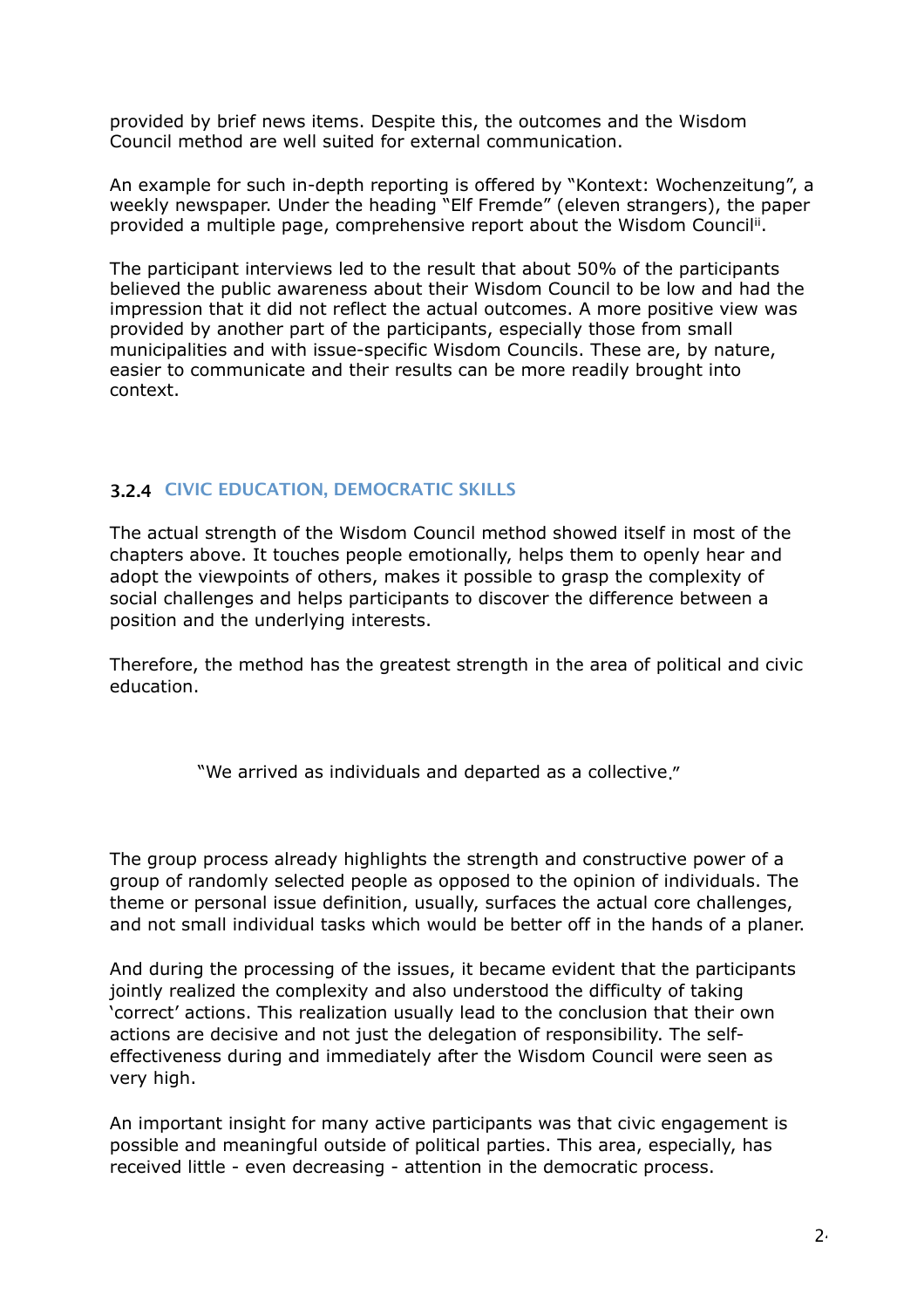provided by brief news items. Despite this, the outcomes and the Wisdom Council method are well suited for external communication.

An example for such in-depth reporting is offered by "Kontext: Wochenzeitung", a weekly newspaper. Under the heading "Elf Fremde" (eleven strangers), the paper provided a multiple page, comprehensive report about the Wisdom Council[ii](#page-34-1).

The participant interviews led to the result that about 50% of the participants believed the public awareness about their Wisdom Council to be low and had the impression that it did not reflect the actual outcomes. A more positive view was provided by another part of the participants, especially those from small municipalities and with issue-specific Wisdom Councils. These are, by nature, easier to communicate and their results can be more readily brought into context.

#### <span id="page-23-0"></span>**3.2.4 CIVIC EDUCATION, DEMOCRATIC SKILLS**

The actual strength of the Wisdom Council method showed itself in most of the chapters above. It touches people emotionally, helps them to openly hear and adopt the viewpoints of others, makes it possible to grasp the complexity of social challenges and helps participants to discover the difference between a position and the underlying interests.

Therefore, the method has the greatest strength in the area of political and civic education.

"We arrived as individuals and departed as a collective."

The group process already highlights the strength and constructive power of a group of randomly selected people as opposed to the opinion of individuals. The theme or personal issue definition, usually, surfaces the actual core challenges, and not small individual tasks which would be better off in the hands of a planer.

And during the processing of the issues, it became evident that the participants jointly realized the complexity and also understood the difficulty of taking 'correct' actions. This realization usually lead to the conclusion that their own actions are decisive and not just the delegation of responsibility. The selfeffectiveness during and immediately after the Wisdom Council were seen as very high.

An important insight for many active participants was that civic engagement is possible and meaningful outside of political parties. This area, especially, has received little - even decreasing - attention in the democratic process.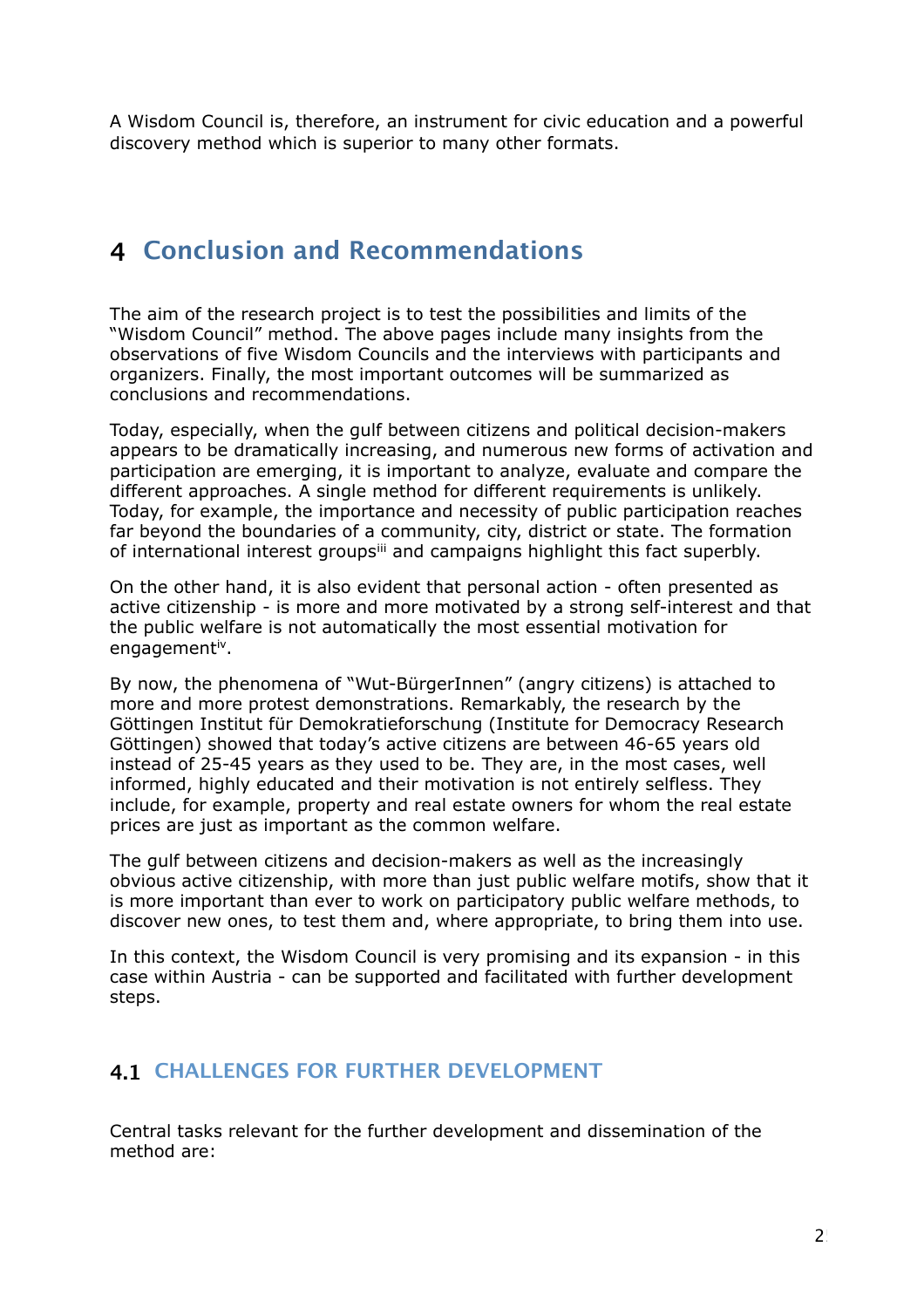A Wisdom Council is, therefore, an instrument for civic education and a powerful discovery method which is superior to many other formats.

### <span id="page-24-0"></span>**4 Conclusion and Recommendations**

The aim of the research project is to test the possibilities and limits of the "Wisdom Council" method. The above pages include many insights from the observations of five Wisdom Councils and the interviews with participants and organizers. Finally, the most important outcomes will be summarized as conclusions and recommendations.

Today, especially, when the gulf between citizens and political decision-makers appears to be dramatically increasing, and numerous new forms of activation and participation are emerging, it is important to analyze, evaluate and compare the different approaches. A single method for different requirements is unlikely. Today, for example, the importance and necessity of public participation reaches far beyond the boundaries of a community, city, district or state. The formation of international interest groupsill and campaigns highlight this fact superbly.

On the other hand, it is also evident that personal action - often presented as active citizenship - is more and more motivated by a strong self-interest and that the public welfare is not automatically the most essential motivation for engagement[iv](#page-34-3).

By now, the phenomena of "Wut-BürgerInnen" (angry citizens) is attached to more and more protest demonstrations. Remarkably, the research by the Göttingen Institut für Demokratieforschung (Institute for Democracy Research Göttingen) showed that today's active citizens are between 46-65 years old instead of 25-45 years as they used to be. They are, in the most cases, well informed, highly educated and their motivation is not entirely selfless. They include, for example, property and real estate owners for whom the real estate prices are just as important as the common welfare.

The gulf between citizens and decision-makers as well as the increasingly obvious active citizenship, with more than just public welfare motifs, show that it is more important than ever to work on participatory public welfare methods, to discover new ones, to test them and, where appropriate, to bring them into use.

In this context, the Wisdom Council is very promising and its expansion - in this case within Austria - can be supported and facilitated with further development steps.

#### <span id="page-24-1"></span>**4.1 CHALLENGES FOR FURTHER DEVELOPMENT**

Central tasks relevant for the further development and dissemination of the method are: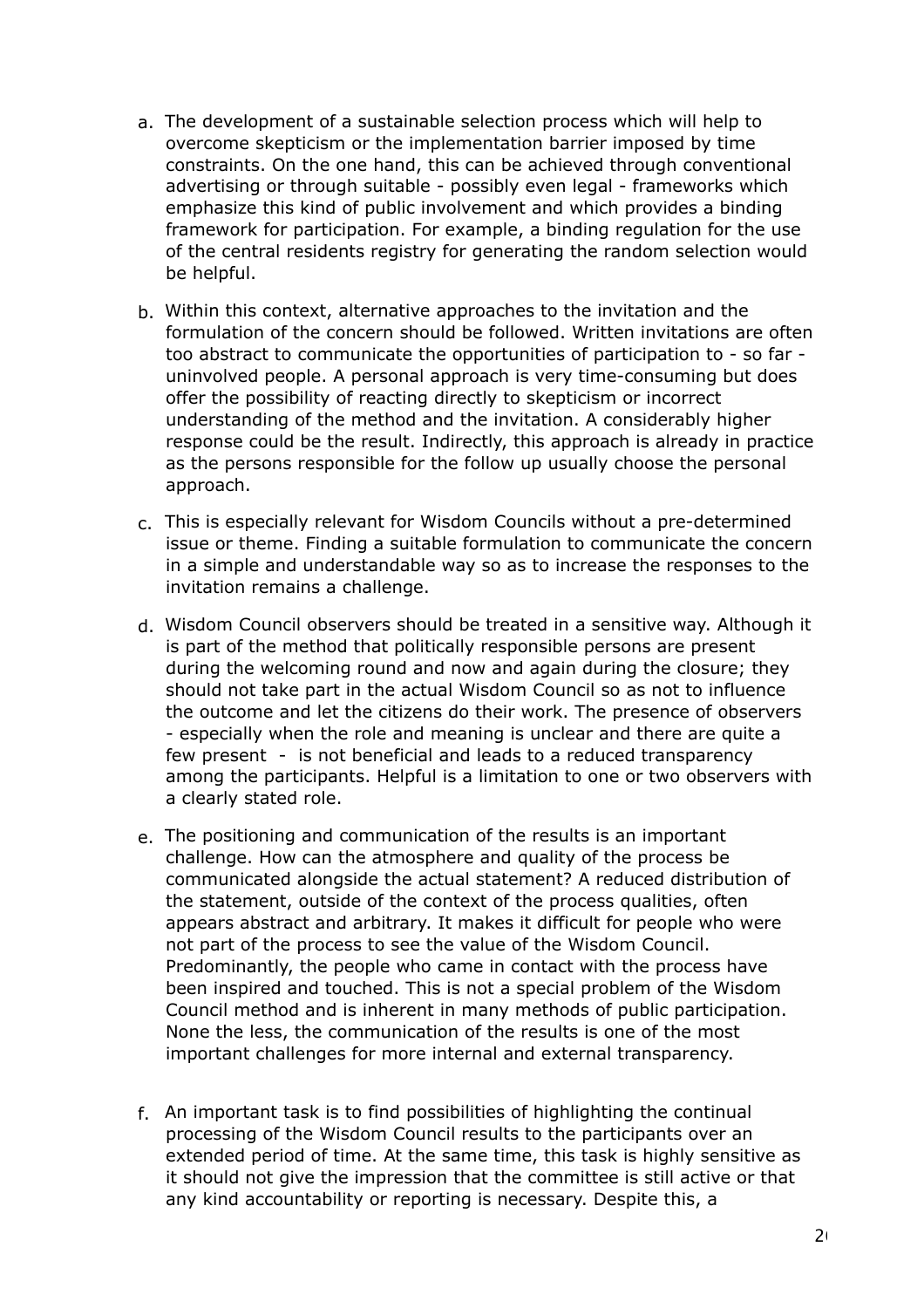- a. The development of a sustainable selection process which will help to overcome skepticism or the implementation barrier imposed by time constraints. On the one hand, this can be achieved through conventional advertising or through suitable - possibly even legal - frameworks which emphasize this kind of public involvement and which provides a binding framework for participation. For example, a binding regulation for the use of the central residents registry for generating the random selection would be helpful.
- b. Within this context, alternative approaches to the invitation and the formulation of the concern should be followed. Written invitations are often too abstract to communicate the opportunities of participation to - so far uninvolved people. A personal approach is very time-consuming but does offer the possibility of reacting directly to skepticism or incorrect understanding of the method and the invitation. A considerably higher response could be the result. Indirectly, this approach is already in practice as the persons responsible for the follow up usually choose the personal approach.
- c. This is especially relevant for Wisdom Councils without a pre-determined issue or theme. Finding a suitable formulation to communicate the concern in a simple and understandable way so as to increase the responses to the invitation remains a challenge.
- d. Wisdom Council observers should be treated in a sensitive way. Although it is part of the method that politically responsible persons are present during the welcoming round and now and again during the closure; they should not take part in the actual Wisdom Council so as not to influence the outcome and let the citizens do their work. The presence of observers - especially when the role and meaning is unclear and there are quite a few present - is not beneficial and leads to a reduced transparency among the participants. Helpful is a limitation to one or two observers with a clearly stated role.
- e. The positioning and communication of the results is an important challenge. How can the atmosphere and quality of the process be communicated alongside the actual statement? A reduced distribution of the statement, outside of the context of the process qualities, often appears abstract and arbitrary. It makes it difficult for people who were not part of the process to see the value of the Wisdom Council. Predominantly, the people who came in contact with the process have been inspired and touched. This is not a special problem of the Wisdom Council method and is inherent in many methods of public participation. None the less, the communication of the results is one of the most important challenges for more internal and external transparency.
- f. An important task is to find possibilities of highlighting the continual processing of the Wisdom Council results to the participants over an extended period of time. At the same time, this task is highly sensitive as it should not give the impression that the committee is still active or that any kind accountability or reporting is necessary. Despite this, a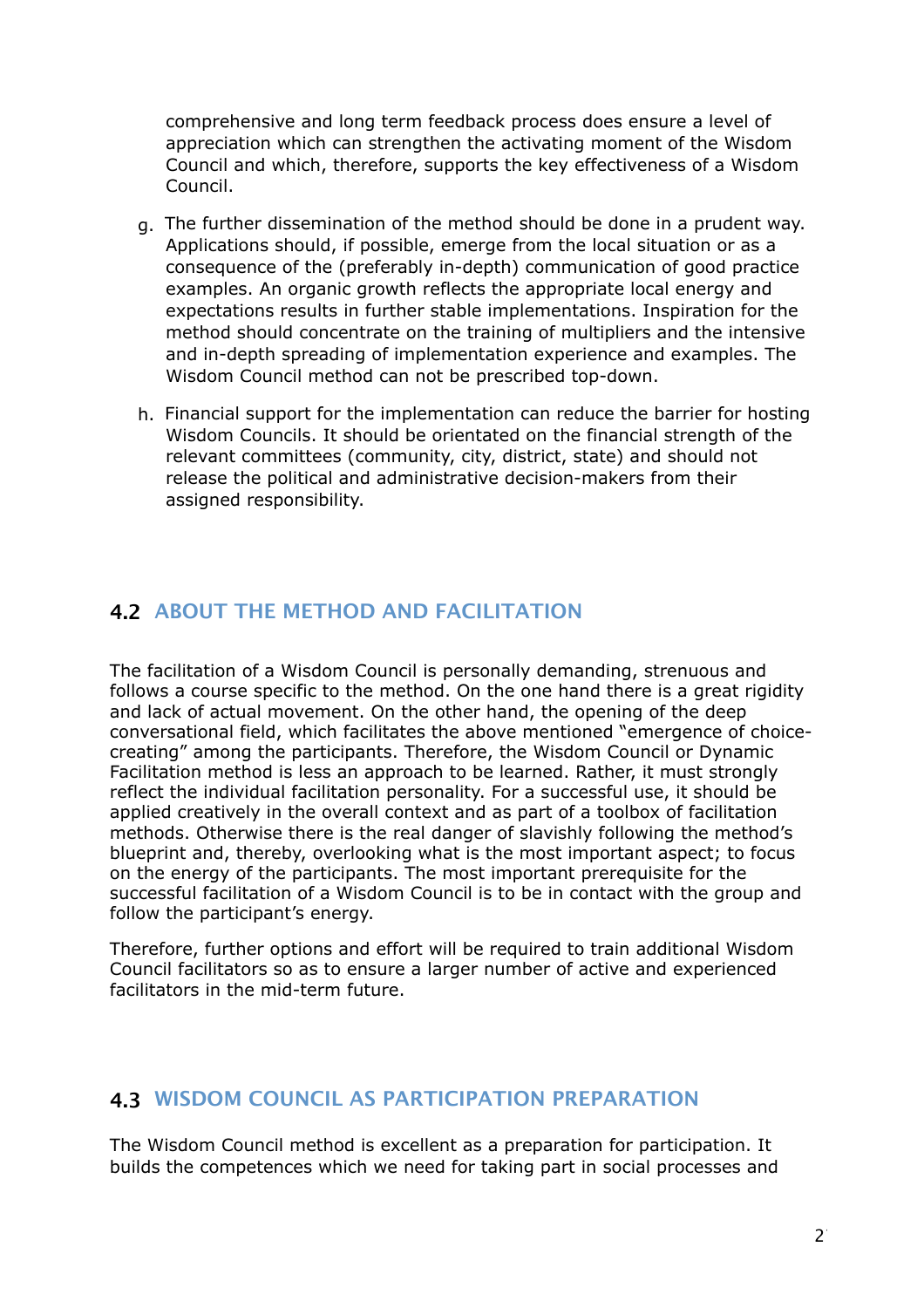comprehensive and long term feedback process does ensure a level of appreciation which can strengthen the activating moment of the Wisdom Council and which, therefore, supports the key effectiveness of a Wisdom Council.

- g. The further dissemination of the method should be done in a prudent way. Applications should, if possible, emerge from the local situation or as a consequence of the (preferably in-depth) communication of good practice examples. An organic growth reflects the appropriate local energy and expectations results in further stable implementations. Inspiration for the method should concentrate on the training of multipliers and the intensive and in-depth spreading of implementation experience and examples. The Wisdom Council method can not be prescribed top-down.
- h. Financial support for the implementation can reduce the barrier for hosting Wisdom Councils. It should be orientated on the financial strength of the relevant committees (community, city, district, state) and should not release the political and administrative decision-makers from their assigned responsibility.

#### <span id="page-26-0"></span>**4.2 ABOUT THE METHOD AND FACILITATION**

The facilitation of a Wisdom Council is personally demanding, strenuous and follows a course specific to the method. On the one hand there is a great rigidity and lack of actual movement. On the other hand, the opening of the deep conversational field, which facilitates the above mentioned "emergence of choicecreating" among the participants. Therefore, the Wisdom Council or Dynamic Facilitation method is less an approach to be learned. Rather, it must strongly reflect the individual facilitation personality. For a successful use, it should be applied creatively in the overall context and as part of a toolbox of facilitation methods. Otherwise there is the real danger of slavishly following the method's blueprint and, thereby, overlooking what is the most important aspect; to focus on the energy of the participants. The most important prerequisite for the successful facilitation of a Wisdom Council is to be in contact with the group and follow the participant's energy.

Therefore, further options and effort will be required to train additional Wisdom Council facilitators so as to ensure a larger number of active and experienced facilitators in the mid-term future.

#### <span id="page-26-1"></span>**4.3 WISDOM COUNCIL AS PARTICIPATION PREPARATION**

The Wisdom Council method is excellent as a preparation for participation. It builds the competences which we need for taking part in social processes and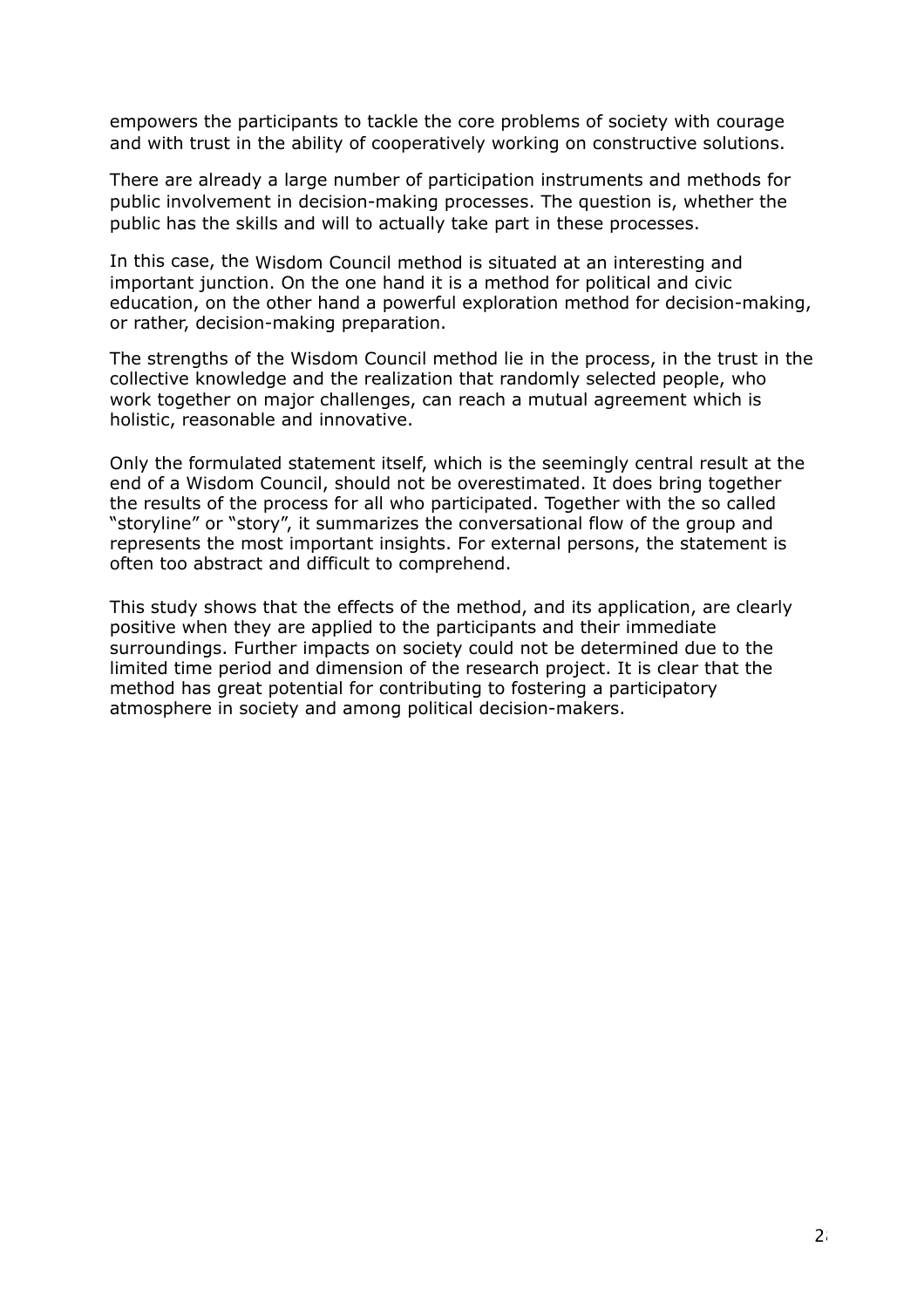empowers the participants to tackle the core problems of society with courage and with trust in the ability of cooperatively working on constructive solutions.

There are already a large number of participation instruments and methods for public involvement in decision-making processes. The question is, whether the public has the skills and will to actually take part in these processes.

In this case, the Wisdom Council method is situated at an interesting and important junction. On the one hand it is a method for political and civic education, on the other hand a powerful exploration method for decision-making, or rather, decision-making preparation.

The strengths of the Wisdom Council method lie in the process, in the trust in the collective knowledge and the realization that randomly selected people, who work together on major challenges, can reach a mutual agreement which is holistic, reasonable and innovative.

Only the formulated statement itself, which is the seemingly central result at the end of a Wisdom Council, should not be overestimated. It does bring together the results of the process for all who participated. Together with the so called "storyline" or "story", it summarizes the conversational flow of the group and represents the most important insights. For external persons, the statement is often too abstract and difficult to comprehend.

This study shows that the effects of the method, and its application, are clearly positive when they are applied to the participants and their immediate surroundings. Further impacts on society could not be determined due to the limited time period and dimension of the research project. It is clear that the method has great potential for contributing to fostering a participatory atmosphere in society and among political decision-makers.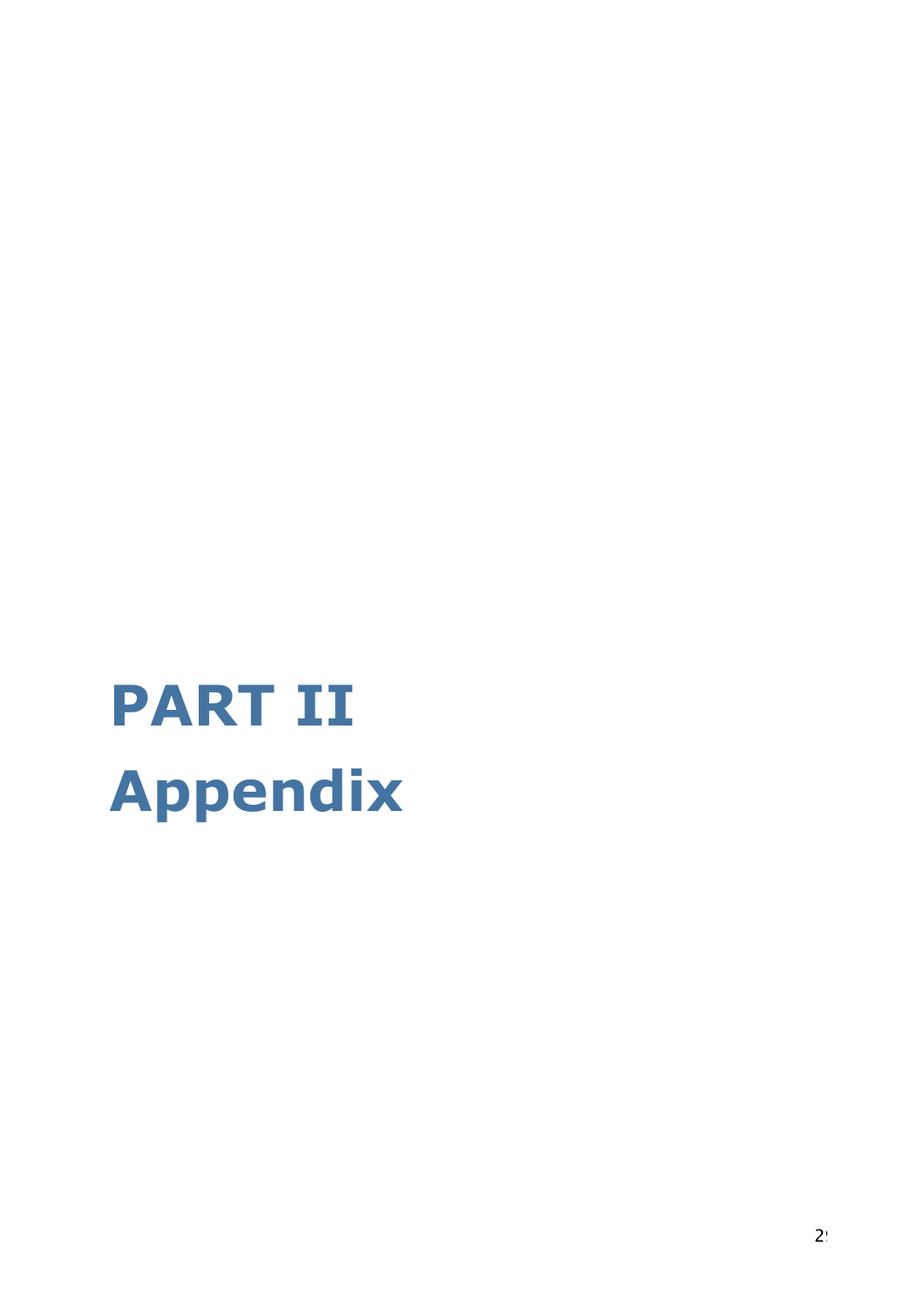# **PART II Appendix**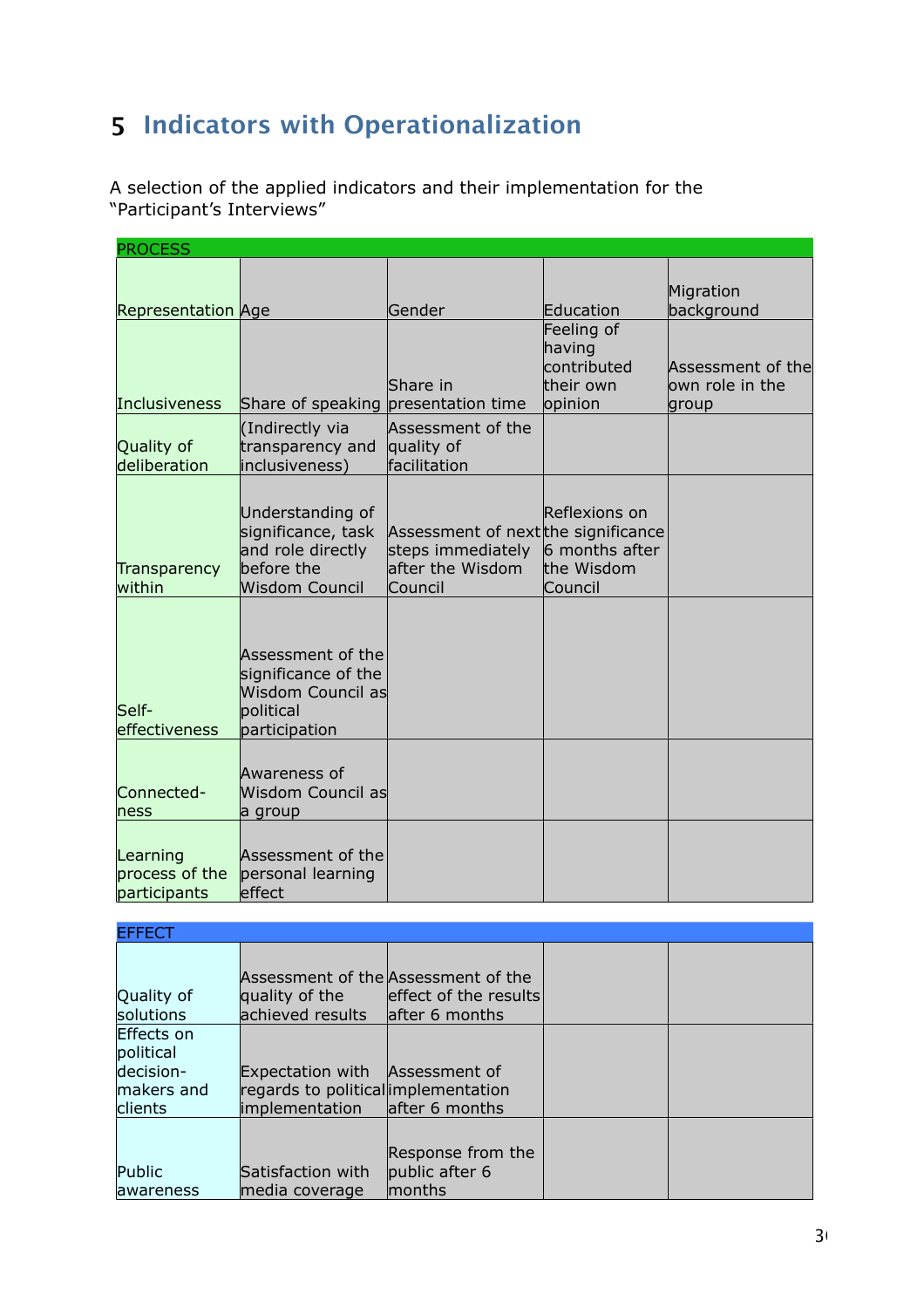# <span id="page-29-0"></span>**5 Indicators with Operationalization**

A selection of the applied indicators and their implementation for the "Participant's Interviews"

| <b>PROCESS</b>                             |                                                                                                    |                                                                                         |                                                          |                                       |
|--------------------------------------------|----------------------------------------------------------------------------------------------------|-----------------------------------------------------------------------------------------|----------------------------------------------------------|---------------------------------------|
| <b>Representation Age</b>                  |                                                                                                    | Gender                                                                                  | Education                                                | Migration<br>background               |
|                                            |                                                                                                    | Share in                                                                                | Feeling of<br>having<br>contributed<br>their own         | Assessment of the<br>lown role in the |
| Inclusiveness                              | Share of speaking presentation time                                                                |                                                                                         | opinion                                                  | group                                 |
| Quality of<br>deliberation                 | (Indirectly via<br>transparency and<br>inclusiveness)                                              | Assessment of the<br>quality of<br>facilitation                                         |                                                          |                                       |
| Transparency<br>within                     | Understanding of<br>significance, task<br>and role directly<br>before the<br><b>Wisdom Council</b> | Assessment of next the significance<br>steps immediately<br>after the Wisdom<br>Council | Reflexions on<br>6 months after<br>the Wisdom<br>Council |                                       |
| Self-<br>effectiveness                     | Assessment of the<br>significance of the<br><b>Wisdom Council as</b><br>political<br>participation |                                                                                         |                                                          |                                       |
| Connected-<br>hess                         | Awareness of<br>Wisdom Council as<br>a group                                                       |                                                                                         |                                                          |                                       |
| Learning<br>process of the<br>participants | Assessment of the<br>personal learning<br>effect                                                   |                                                                                         |                                                          |                                       |

| <b>EFFECT</b>                                                        |                                                                                         |                                                                                |  |
|----------------------------------------------------------------------|-----------------------------------------------------------------------------------------|--------------------------------------------------------------------------------|--|
| Quality of<br>solutions                                              | quality of the<br>achieved results                                                      | Assessment of the Assessment of the<br>effect of the results<br>after 6 months |  |
| Effects on<br>political<br>decision-<br>makers and<br><b>clients</b> | Expectation with Assessment of<br>regards to political implementation<br>implementation | after 6 months                                                                 |  |
| Public<br><b>lawareness</b>                                          | Satisfaction with<br>media coverage                                                     | Response from the<br>public after 6<br>months                                  |  |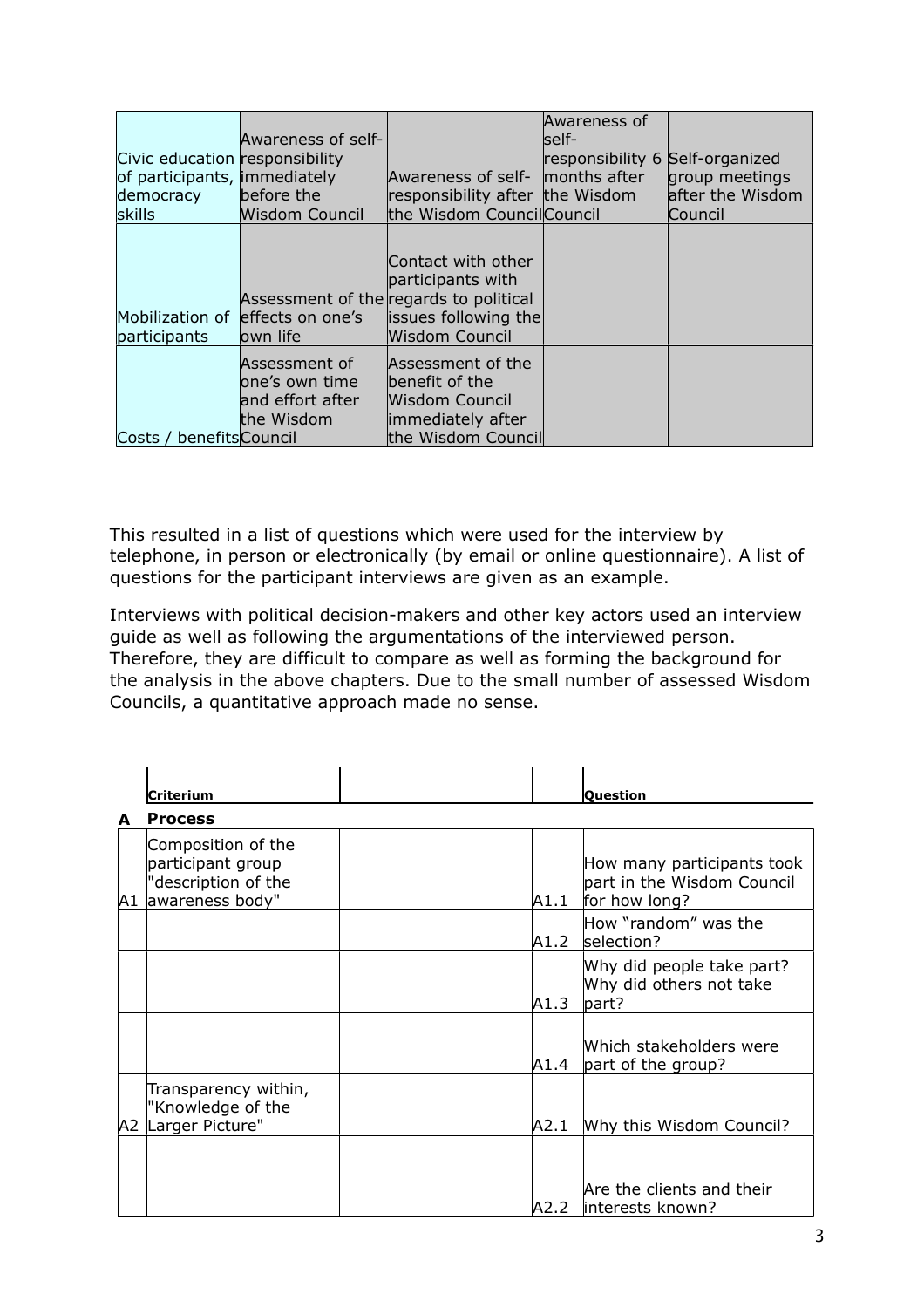| Civic education responsibility<br>of participants, immediately<br>democracy<br>skills | Awareness of self-<br>before the<br><b>Wisdom Council</b>          | Awareness of self- months after<br>responsibility after the Wisdom<br>the Wisdom Council Council                            | Awareness of<br>lself-<br>responsibility 6 Self-organized | group meetings<br>after the Wisdom<br>Council |
|---------------------------------------------------------------------------------------|--------------------------------------------------------------------|-----------------------------------------------------------------------------------------------------------------------------|-----------------------------------------------------------|-----------------------------------------------|
| participants                                                                          | Mobilization of effects on one's<br>lown life                      | Contact with other<br>participants with<br>Assessment of the regards to political<br>issues following the<br>Wisdom Council |                                                           |                                               |
| benefitsCouncil<br>Costs /                                                            | Assessment of<br>lone's own time<br>and effort after<br>the Wisdom | Assessment of the<br>benefit of the<br>Wisdom Council<br>immediately after<br>the Wisdom Council                            |                                                           |                                               |

This resulted in a list of questions which were used for the interview by telephone, in person or electronically (by email or online questionnaire). A list of questions for the participant interviews are given as an example.

Interviews with political decision-makers and other key actors used an interview guide as well as following the argumentations of the interviewed person. Therefore, they are difficult to compare as well as forming the background for the analysis in the above chapters. Due to the small number of assessed Wisdom Councils, a quantitative approach made no sense.

|   | Criterium                                                                            |       | Ouestion                                                                  |
|---|--------------------------------------------------------------------------------------|-------|---------------------------------------------------------------------------|
| A | <b>Process</b>                                                                       |       |                                                                           |
|   | Composition of the<br>participant group<br>"description of the<br>A1 awareness body" | A1.1  | How many participants took<br>part in the Wisdom Council<br>for how long? |
|   |                                                                                      | A1.2  | How "random" was the<br>selection?                                        |
|   |                                                                                      | A1.3  | Why did people take part?<br>Why did others not take<br>part?             |
|   |                                                                                      | A1.4  | Which stakeholders were<br>part of the group?                             |
|   | Transparency within,<br>"Knowledge of the<br>A2 Larger Picture"                      | A2.1  | Why this Wisdom Council?                                                  |
|   |                                                                                      | IA2.2 | Are the clients and their<br>interests known?                             |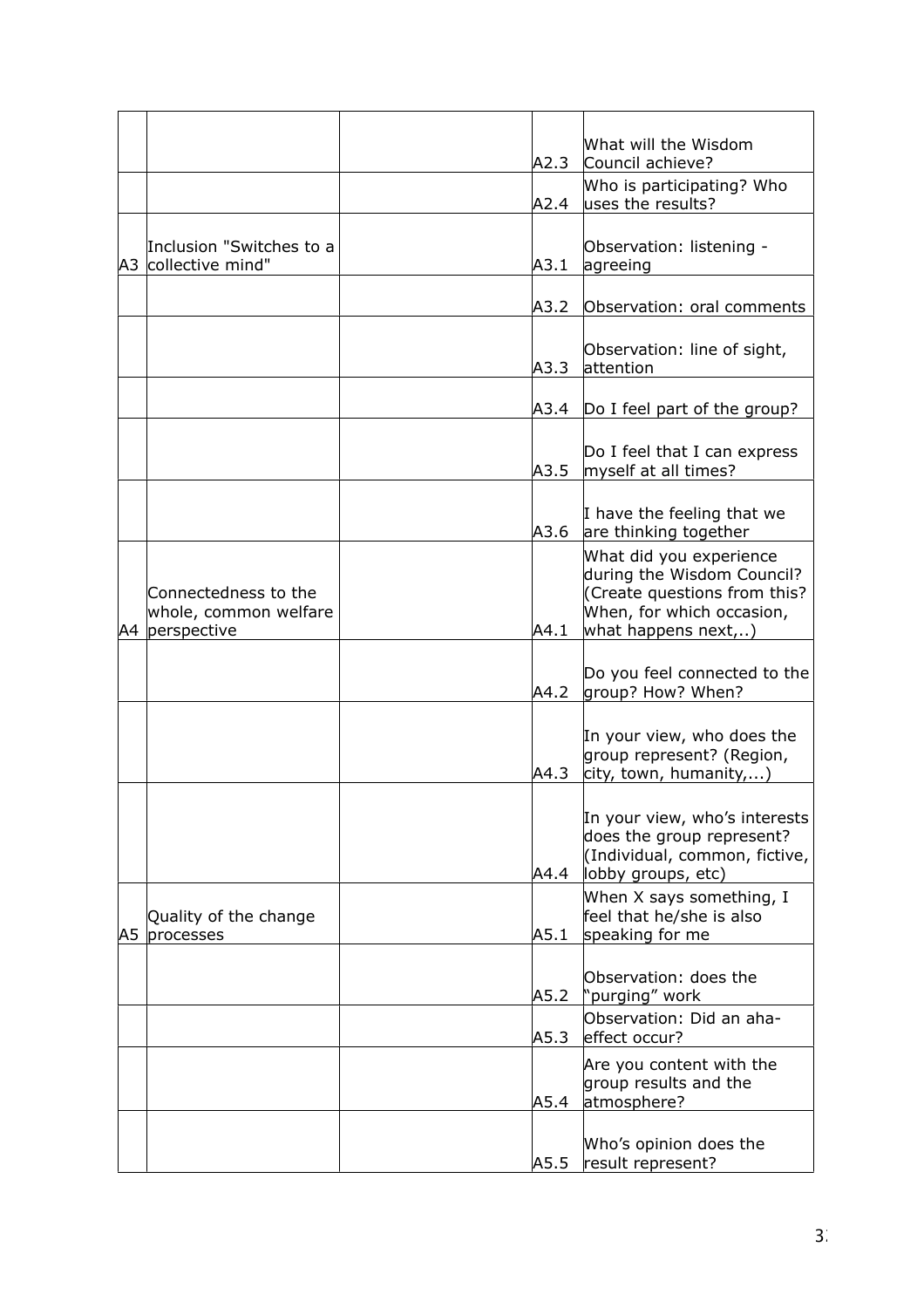|    |                                                                 | A2.3 | What will the Wisdom<br>Council achieve?                                                                                                 |
|----|-----------------------------------------------------------------|------|------------------------------------------------------------------------------------------------------------------------------------------|
|    |                                                                 |      | Who is participating? Who                                                                                                                |
|    |                                                                 | A2.4 | uses the results?                                                                                                                        |
|    | Inclusion "Switches to a<br>A3 collective mind"                 | A3.1 | Observation: listening -<br>agreeing                                                                                                     |
|    |                                                                 | A3.2 | Observation: oral comments                                                                                                               |
|    |                                                                 | A3.3 | Observation: line of sight,<br>attention                                                                                                 |
|    |                                                                 | A3.4 | Do I feel part of the group?                                                                                                             |
|    |                                                                 | A3.5 | Do I feel that I can express<br>myself at all times?                                                                                     |
|    |                                                                 | A3.6 | I have the feeling that we<br>are thinking together                                                                                      |
|    | Connectedness to the<br>whole, common welfare<br>A4 perspective | A4.1 | What did you experience<br>during the Wisdom Council?<br>Create questions from this?<br>When, for which occasion,<br>what happens next,) |
|    |                                                                 | A4.2 | Do you feel connected to the<br>group? How? When?                                                                                        |
|    |                                                                 | A4.3 | In your view, who does the<br>group represent? (Region,<br>city, town, humanity,)                                                        |
|    |                                                                 | A4.4 | In your view, who's interests<br>does the group represent?<br>(Individual, common, fictive,<br>lobby groups, etc)                        |
| A5 | Quality of the change<br>processes                              | A5.1 | When X says something, I<br>feel that he/she is also<br>speaking for me                                                                  |
|    |                                                                 | A5.2 | Observation: does the<br>'purging" work                                                                                                  |
|    |                                                                 | A5.3 | Observation: Did an aha-<br>effect occur?                                                                                                |
|    |                                                                 | A5.4 | Are you content with the<br>group results and the<br>atmosphere?                                                                         |
|    |                                                                 | A5.5 | Who's opinion does the<br>result represent?                                                                                              |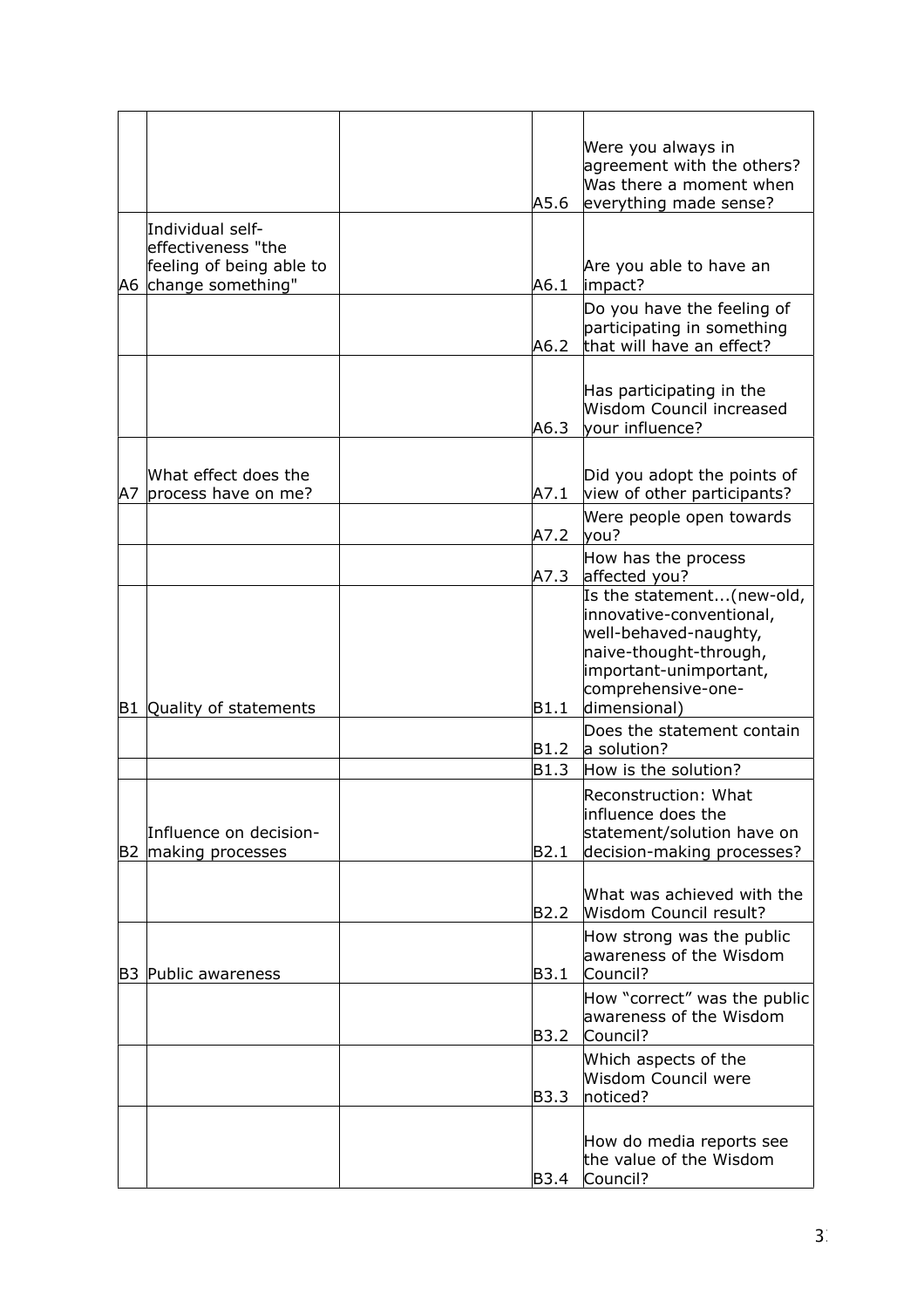|    |                                                                                             | A5.6 | Were you always in<br>agreement with the others?<br>Was there a moment when<br>everything made sense?                                                                    |
|----|---------------------------------------------------------------------------------------------|------|--------------------------------------------------------------------------------------------------------------------------------------------------------------------------|
|    | Individual self-<br>leffectiveness "the<br>feeling of being able to<br>A6 change something" | A6.1 | Are you able to have an<br>impact?                                                                                                                                       |
|    |                                                                                             | A6.2 | Do you have the feeling of<br>participating in something<br>that will have an effect?                                                                                    |
|    |                                                                                             | A6.3 | Has participating in the<br>Wisdom Council increased<br>vour influence?                                                                                                  |
| A7 | What effect does the<br>process have on me?                                                 | A7.1 | Did you adopt the points of<br>view of other participants?                                                                                                               |
|    |                                                                                             | A7.2 | Were people open towards<br>you?                                                                                                                                         |
|    |                                                                                             | A7.3 | How has the process<br>affected you?                                                                                                                                     |
|    | B1 Quality of statements                                                                    | B1.1 | Is the statement(new-old,<br>innovative-conventional,<br>well-behaved-naughty,<br>naive-thought-through,<br>important-unimportant,<br>comprehensive-one-<br>dimensional) |
|    |                                                                                             | B1.2 | Does the statement contain<br>a solution?                                                                                                                                |
|    |                                                                                             | B1.3 | How is the solution?                                                                                                                                                     |
|    | Influence on decision-<br>B2 making processes                                               | B2.1 | Reconstruction: What<br>influence does the<br>statement/solution have on<br>decision-making processes?                                                                   |
|    |                                                                                             | B2.2 | What was achieved with the<br>Wisdom Council result?                                                                                                                     |
|    | <b>B3 Public awareness</b>                                                                  | B3.1 | How strong was the public<br>awareness of the Wisdom<br>Council?                                                                                                         |
|    |                                                                                             | B3.2 | How "correct" was the public<br>awareness of the Wisdom<br>Council?                                                                                                      |
|    |                                                                                             | B3.3 | Which aspects of the<br>Wisdom Council were<br>noticed?                                                                                                                  |
|    |                                                                                             | B3.4 | How do media reports see<br>the value of the Wisdom<br>Council?                                                                                                          |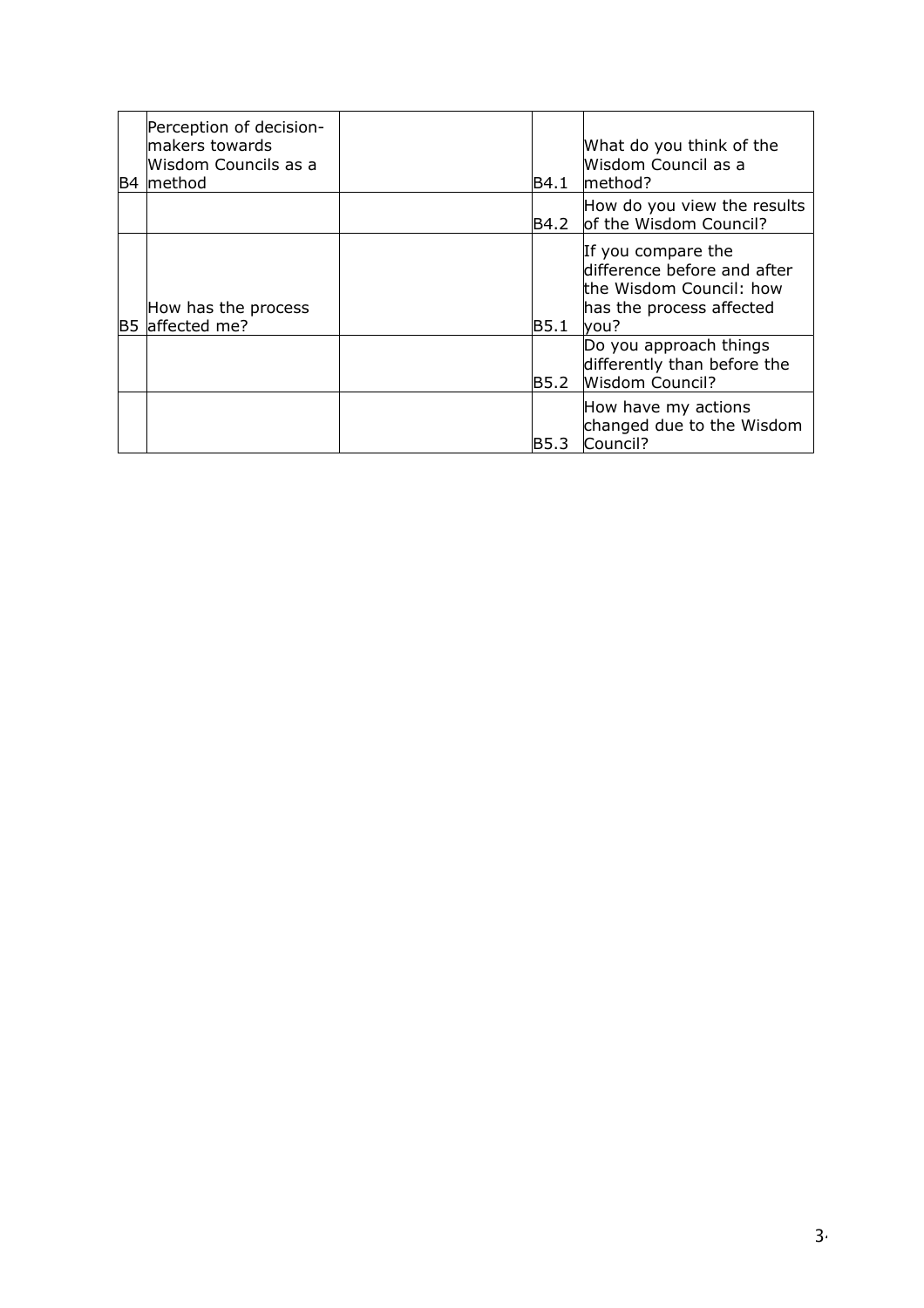| Perception of decision-<br>makers towards<br>Wisdom Councils as a<br>B4 method | B4.1  | What do you think of the<br>Wisdom Council as a<br>method?                                                        |
|--------------------------------------------------------------------------------|-------|-------------------------------------------------------------------------------------------------------------------|
|                                                                                | B4.2  | How do you view the results<br>of the Wisdom Council?                                                             |
| How has the process<br>B5 affected me?                                         | B5.1  | If you compare the<br>difference before and after<br>the Wisdom Council: how<br>has the process affected<br>lyou? |
|                                                                                | B5.2  | Do you approach things<br>differently than before the<br><b>Wisdom Council?</b>                                   |
|                                                                                | IB5.3 | How have my actions<br>changed due to the Wisdom<br>Council?                                                      |